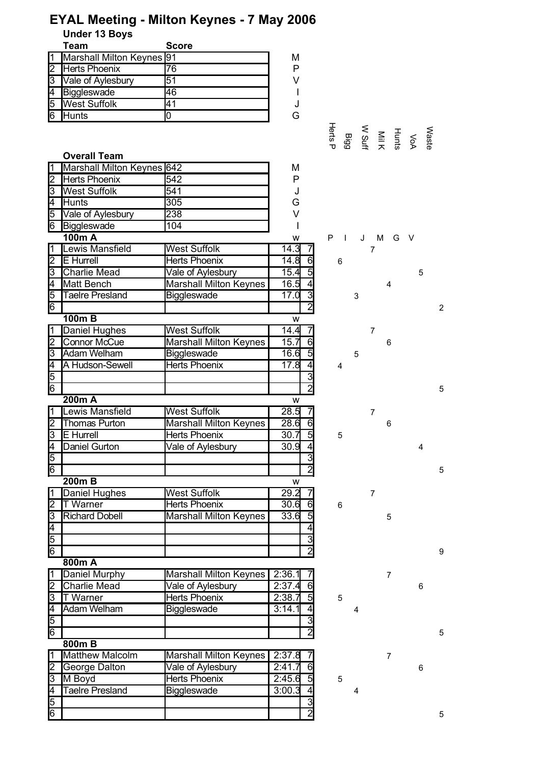|  | <b>EYAL Meeting - Milton Keynes - 7 May 2006</b> |
|--|--------------------------------------------------|
|--|--------------------------------------------------|

**Under 13 Boys**

|   | Team                      | <b>Score</b> |   |
|---|---------------------------|--------------|---|
|   | Marshall Milton Keynes 91 |              | М |
|   | Herts Phoenix             | 76           | P |
| ß | Vale of Aylesbury         | 51           | V |
| 4 | Biggleswade               | 46           |   |
| 5 | <b>West Suffolk</b>       | 41           |   |
| 6 | Hunts                     |              | G |

#### **Overall Team** Marshall Milton Keynes 642 M 2 542 P Herts Phoenix 3 West Suffolk 541 Services Superior Studies 4 **Hunts** 1305 G 5 Vale of Aylesbury 238 and 1 V 6 Biggleswade 104 and 104 **100m A** w P I J M G V **Lewis Mansfield** Mest Suffolk 14.3 7 2 |E Hurrell |Herts Phoenix | 14.8 6 6 3 Charlie Mead 15.4 5 5 Vale of Aylesbury Matt Bench Marshall Milton Keynes 16.5 4 4 5 |Taelre Presland | Biggleswade | 17.0 3 3 6 2 2 **100m B** w Daniel Hughes West Suffolk 14.4 7 7 2 Connor McCue Marshall Milton Keynes | 15.7 6 6 6 3 16.6 5 5 Adam Welham Biggleswade 4 A Hudson-Sewell | Herts Phoenix | 17.8 4 4 4 5 | 3 6 2 5 **200m A** w **Lewis Mansfield** West Suffolk 1 28.5 7 2 Thomas Purton Marshall Milton Keynes 28.6 6 6 6 6 6 3 30.7 5 5 E Hurrell Herts Phoenix 4 30.9 4 4 Daniel Gurton Vale of Aylesbury 5 3 6 2 5 **200m B** w 1 Daniel Hughes West Suffolk 1 29.2 7 2 |T Warner | Herts Phoenix | 30.6 6 6 3 Richard Dobell Marshall Milton Keynes 33.6 5 4 | 4 5 3 6 2 9 **800m A Daniel Murphy Marshall Milton Keynes 2:36.1 7** 7 2 Charlie Mead Vale of Aylesbury 2:37.4 6 3 T Warner 2:38.7 5 5 Herts Phoenix 4 |Adam Welham | Biggleswade | 3:14.1 4 4 5 | 3 6 2 5 **800m B** Matthew Malcolm Marshall Milton Keynes 2:37.8 7 2 George Dalton 2:41.7 6 6 Vale of Aylesbury 3 |M Boyd |Herts Phoenix | 2:45.6 5 5 4 3:00.3 4 4 Taelre Presland Biggleswade5 | 3 Connor McCue Thomas Purton Richard Dobell

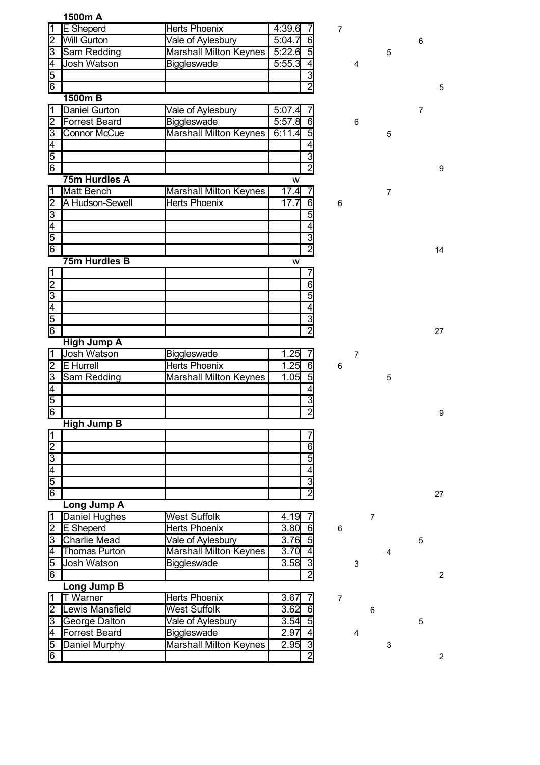|                         | 1500m A              |                               |        |                                  |                |                |                |                |   |                |
|-------------------------|----------------------|-------------------------------|--------|----------------------------------|----------------|----------------|----------------|----------------|---|----------------|
| 1                       | <b>E</b> Sheperd     | <b>Herts Phoenix</b>          | 4:39.6 |                                  | 7              |                |                |                |   |                |
| $\overline{2}$          | <b>Will Gurton</b>   | Vale of Aylesbury             | 5:04.7 | 6                                |                |                |                |                | 6 |                |
| S                       | Sam Redding          | <b>Marshall Milton Keynes</b> | 5:22.6 | $\overline{5}$                   |                |                |                | 5              |   |                |
| $\overline{\mathsf{4}}$ | <b>Josh Watson</b>   | <b>Biggleswade</b>            | 5:55.3 | 4                                |                | 4              |                |                |   |                |
| 5                       |                      |                               |        | $\overline{\textbf{3}}$          |                |                |                |                |   |                |
| $6\overline{6}$         |                      |                               |        | $\overline{2}$                   |                |                |                |                |   | 5              |
|                         | 1500m B              |                               |        |                                  |                |                |                |                |   |                |
| 1                       | Daniel Gurton        | Vale of Aylesbury             | 5:07.4 |                                  |                |                |                |                | 7 |                |
| 2                       | <b>Forrest Beard</b> | Biggleswade                   | 5:57.8 | 6                                |                | 6              |                |                |   |                |
| 3                       | <b>Connor McCue</b>  | Marshall Milton Keynes        | 6:11.4 | $\overline{5}$                   |                |                |                | 5              |   |                |
| 4                       |                      |                               |        | 4                                |                |                |                |                |   |                |
| 5                       |                      |                               |        | $\overline{\overline{3}}$        |                |                |                |                |   |                |
| 6                       |                      |                               |        | $\overline{2}$                   |                |                |                |                |   | 9              |
|                         | 75m Hurdles A        |                               | W      |                                  |                |                |                |                |   |                |
| 1                       | Matt Bench           | <b>Marshall Milton Keynes</b> | 17.4   |                                  |                |                |                | $\overline{7}$ |   |                |
| $\overline{2}$          | A Hudson-Sewell      | <b>Herts Phoenix</b>          | 17.7   | 6                                | 6              |                |                |                |   |                |
| 3                       |                      |                               |        | $\overline{5}$                   |                |                |                |                |   |                |
| $\overline{\mathsf{4}}$ |                      |                               |        | 4                                |                |                |                |                |   |                |
| 5                       |                      |                               |        | 3                                |                |                |                |                |   |                |
| 6                       |                      |                               |        | $\overline{2}$                   |                |                |                |                |   | 14             |
|                         | 75m Hurdles B        |                               | W      |                                  |                |                |                |                |   |                |
| $\vert$ 1               |                      |                               |        |                                  |                |                |                |                |   |                |
| $\overline{2}$          |                      |                               |        | 6                                |                |                |                |                |   |                |
| $\overline{\mathbf{3}}$ |                      |                               |        | 5                                |                |                |                |                |   |                |
| $\overline{4}$          |                      |                               |        | 4                                |                |                |                |                |   |                |
| 5                       |                      |                               |        | $\overline{3}$                   |                |                |                |                |   |                |
| 6                       |                      |                               |        | $\overline{2}$                   |                |                |                |                |   | 27             |
|                         | <b>High Jump A</b>   |                               |        |                                  |                |                |                |                |   |                |
| 1                       | <b>Josh Watson</b>   | Biggleswade                   | 1.25   | 7                                |                | $\overline{7}$ |                |                |   |                |
| 2                       | <b>E</b> Hurrell     | <b>Herts Phoenix</b>          | 1.25   | 6                                | 6              |                |                |                |   |                |
| З                       | Sam Redding          | <b>Marshall Milton Keynes</b> | 1.05   | $\overline{5}$                   |                |                |                | 5              |   |                |
| $\overline{\mathsf{4}}$ |                      |                               |        | 4                                |                |                |                |                |   |                |
| 5                       |                      |                               |        | $\overline{3}$<br>$\overline{2}$ |                |                |                |                |   |                |
| 6                       |                      |                               |        |                                  |                |                |                |                |   | 9              |
|                         | <b>High Jump B</b>   |                               |        |                                  |                |                |                |                |   |                |
| 1<br>$\overline{2}$     |                      |                               |        | $\overline{6}$                   |                |                |                |                |   |                |
| $\overline{3}$          |                      |                               |        | 5                                |                |                |                |                |   |                |
|                         |                      |                               |        | 4                                |                |                |                |                |   |                |
| $\frac{4}{5}$           |                      |                               |        | $\overline{3}$                   |                |                |                |                |   |                |
| 6                       |                      |                               |        | $\overline{2}$                   |                |                |                |                |   | 27             |
|                         | <b>Long Jump A</b>   |                               |        |                                  |                |                |                |                |   |                |
| 1                       | Daniel Hughes        | <b>West Suffolk</b>           | 4.19   |                                  |                |                | $\overline{7}$ |                |   |                |
| $\overline{2}$          | <b>E</b> Sheperd     | <b>Herts Phoenix</b>          | 3.80   | 6                                | 6              |                |                |                |   |                |
| 3                       | <b>Charlie Mead</b>  | Vale of Aylesbury             | 3.76   | $\overline{5}$                   |                |                |                |                | 5 |                |
| 4                       | Thomas Purton        | <b>Marshall Milton Keynes</b> | 3.70   | 4                                |                |                |                | $\overline{4}$ |   |                |
| 5                       | Josh Watson          | Biggleswade                   | 3.58   | دى                               |                | 3              |                |                |   |                |
| 6                       |                      |                               |        | $\overline{2}$                   |                |                |                |                |   | $\overline{2}$ |
|                         | Long Jump B          |                               |        |                                  |                |                |                |                |   |                |
| 1                       | <b>T</b> Warner      | <b>Herts Phoenix</b>          | 3.67   | $\prime$                         | $\overline{7}$ |                |                |                |   |                |
| $\overline{2}$          | Lewis Mansfield      | <b>West Suffolk</b>           | 3.62   | $\overline{6}$                   |                |                | 6              |                |   |                |
| 3                       | <b>George Dalton</b> | Vale of Aylesbury             | 3.54   | 5                                |                |                |                |                | 5 |                |
| 4                       | <b>Forrest Beard</b> | Biggleswade                   | 2.97   | 4                                |                | 4              |                |                |   |                |
| 5                       | Daniel Murphy        | <b>Marshall Milton Keynes</b> | 2.95   | 3                                |                |                |                | $\mathsf 3$    |   |                |
| $\overline{6}$          |                      |                               |        | $\overline{2}$                   |                |                |                |                |   | $\overline{2}$ |
|                         |                      |                               |        |                                  |                |                |                |                |   |                |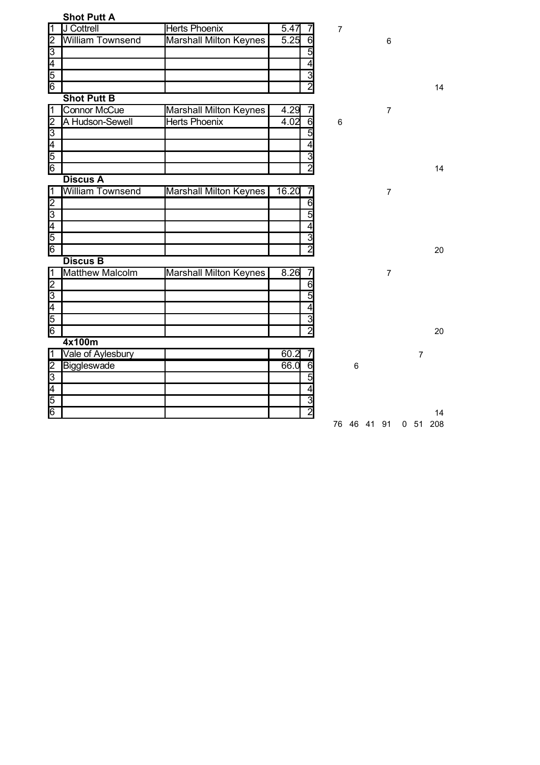|                         | <b>Shot Putt A</b>      |                               |                        |                |                |                 |     |
|-------------------------|-------------------------|-------------------------------|------------------------|----------------|----------------|-----------------|-----|
| $\vert$ 1               | J Cottrell              | <b>Herts Phoenix</b>          | 5.47                   | $\overline{7}$ |                |                 |     |
| $\overline{2}$          | William Townsend        | <b>Marshall Milton Keynes</b> | 5.25<br>$\overline{6}$ |                | $6\phantom{1}$ |                 |     |
| $\overline{3}$          |                         |                               | 5                      |                |                |                 |     |
| 4                       |                         |                               | 4                      |                |                |                 |     |
| 5                       |                         |                               | $\overline{3}$         |                |                |                 |     |
| 6                       |                         |                               | $\overline{2}$         |                |                |                 | 14  |
|                         | <b>Shot Putt B</b>      |                               |                        |                |                |                 |     |
| $\overline{1}$          | <b>Connor McCue</b>     | Marshall Milton Keynes        | $4.\overline{29}$      |                | $\overline{7}$ |                 |     |
| $\overline{2}$          | A Hudson-Sewell         | <b>Herts Phoenix</b>          | 6<br>4.02              | 6              |                |                 |     |
| $\overline{3}$          |                         |                               | 5                      |                |                |                 |     |
| $\overline{4}$          |                         |                               | 4                      |                |                |                 |     |
| $\overline{5}$          |                         |                               | 3                      |                |                |                 |     |
| $\overline{6}$          |                         |                               | $\overline{2}$         |                |                |                 | 14  |
|                         | <b>Discus A</b>         |                               |                        |                |                |                 |     |
| $\overline{1}$          | <b>William Townsend</b> | <b>Marshall Milton Keynes</b> | 16.20<br>7             |                | $\overline{7}$ |                 |     |
| $\overline{2}$          |                         |                               | $\overline{6}$         |                |                |                 |     |
| $\overline{3}$          |                         |                               | 5                      |                |                |                 |     |
| $\overline{4}$          |                         |                               | 4                      |                |                |                 |     |
| 5                       |                         |                               | 3                      |                |                |                 |     |
| 6                       |                         |                               | $\overline{2}$         |                |                |                 | 20  |
|                         | <b>Discus B</b>         |                               |                        |                |                |                 |     |
| $\overline{1}$          | <b>Matthew Malcolm</b>  | <b>Marshall Milton Keynes</b> | 8.26<br>7              |                | $\overline{7}$ |                 |     |
|                         |                         |                               | $\overline{6}$         |                |                |                 |     |
|                         |                         |                               | 5                      |                |                |                 |     |
| $\frac{2}{5}$           |                         |                               | 4                      |                |                |                 |     |
|                         |                         |                               | 3                      |                |                |                 |     |
| 6                       |                         |                               | $\overline{2}$         |                |                |                 | 20  |
|                         | 4x100m                  |                               |                        |                |                |                 |     |
| $\overline{\mathbf{1}}$ | Vale of Aylesbury       |                               | 60.2                   |                |                | $\overline{7}$  |     |
| $\frac{2}{3}$           | Biggleswade             |                               | 66.0<br>6              | 6              |                |                 |     |
|                         |                         |                               | 5                      |                |                |                 |     |
| $\overline{4}$          |                         |                               | 4                      |                |                |                 |     |
| 5                       |                         |                               | $\overline{3}$         |                |                |                 |     |
| 6                       |                         |                               | $\overline{2}$         |                |                |                 | 14  |
|                         |                         |                               |                        | 76 46 41 91    |                | 0 <sub>51</sub> | 208 |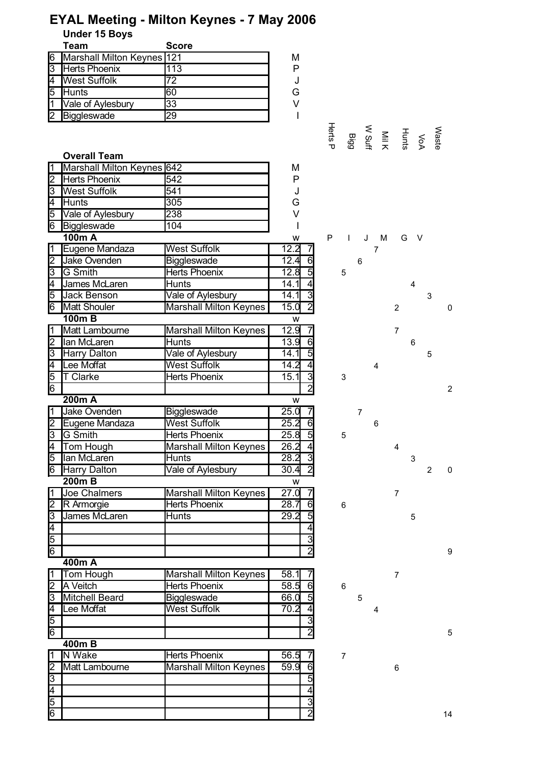| EYAL Meeting - Milton Keynes - 7 May 2006 |  |  |  |  |  |
|-------------------------------------------|--|--|--|--|--|
|-------------------------------------------|--|--|--|--|--|

**Under 15 Boys**

|    | Team                         | <b>Score</b> |   |
|----|------------------------------|--------------|---|
| 6  | Marshall Milton Keynes   121 |              | М |
| I3 | Herts Phoenix                | 13           | P |
|    | <b>West Suffolk</b>          | 72           |   |
| 5  | Hunts                        | 60           | G |
|    | Vale of Aylesbury            | 33           | V |
|    | Biggleswade                  |              |   |

#### **Overall Team** 1 Marshall Milton Keynes 642 M 2 Herts Phoenix 542 Books Provides and P 3 |West Suffolk |541 | J Herts Phoenix

|                | ווטוווטט ונטוו      | ו דע                          | U                      |                   |                |   |                |        |                |   |
|----------------|---------------------|-------------------------------|------------------------|-------------------|----------------|---|----------------|--------|----------------|---|
| 4              | <b>Hunts</b>        | $\overline{305}$              | Ġ                      |                   |                |   |                |        |                |   |
| 5              | Vale of Aylesbury   | $\overline{238}$              | V                      |                   |                |   |                |        |                |   |
| $\overline{6}$ | Biggleswade         | 104                           |                        |                   |                |   |                |        |                |   |
|                | 100m A              |                               | W                      | P<br>$\mathbf{I}$ | J              | M | G              | $\vee$ |                |   |
| $\overline{1}$ | Eugene Mandaza      | <b>West Suffolk</b>           | 12.2                   |                   |                | 7 |                |        |                |   |
| 2              | Jake Ovenden        | <b>Biggleswade</b>            | 12.4<br>$6 \mid$       |                   | 6              |   |                |        |                |   |
| $\overline{3}$ | <b>G</b> Smith      | <b>Herts Phoenix</b>          | 12.8<br>$\overline{5}$ | 5                 |                |   |                |        |                |   |
| 4              | James McLaren       | Hunts                         | 14.1                   |                   |                |   |                | 4      |                |   |
| 5              | Jack Benson         | Vale of Aylesbury             | 14.1<br>3              |                   |                |   |                |        | 3              |   |
| 6              | <b>Matt Shouler</b> | <b>Marshall Milton Keynes</b> | $\overline{2}$<br>15.0 |                   |                |   | 2              |        |                | 0 |
|                | <b>100mB</b>        |                               | W                      |                   |                |   |                |        |                |   |
| $\overline{1}$ | Matt Lambourne      | <b>Marshall Milton Keynes</b> | 12.9                   |                   |                |   | $\overline{7}$ |        |                |   |
| 2              | lan McLaren         | Hunts                         | 13.9<br>6              |                   |                |   |                | 6      |                |   |
| $\overline{3}$ | <b>Harry Dalton</b> | Vale of Aylesbury             | 5<br>14.1              |                   |                |   |                |        | 5              |   |
| 4              | Lee Moffat          | <b>West Suffolk</b>           | 14.2                   |                   |                | 4 |                |        |                |   |
| 5              | <b>T</b> Clarke     | <b>Herts Phoenix</b>          | 3<br>15.1              | 3                 |                |   |                |        |                |   |
| $\overline{6}$ |                     |                               | $\overline{2}$         |                   |                |   |                |        |                | 2 |
|                | 200m A              |                               | W                      |                   |                |   |                |        |                |   |
| $\overline{1}$ | <b>Jake Ovenden</b> | Biggleswade                   | 25.0                   |                   | $\overline{7}$ |   |                |        |                |   |
| $\overline{2}$ | Eugene Mandaza      | <b>West Suffolk</b>           | 25.2<br>6              |                   |                | 6 |                |        |                |   |
| $\overline{3}$ | G Smith             | <b>Herts Phoenix</b>          | $\overline{5}$<br>25.8 | 5                 |                |   |                |        |                |   |
| 4              | Tom Hough           | <b>Marshall Milton Keynes</b> | 26.2<br>$\overline{4}$ |                   |                |   | $\overline{4}$ |        |                |   |
| 5              | lan McLaren         | Hunts                         | 28.2<br><u>دی</u>      |                   |                |   |                | 3      |                |   |
| 6              | Harry Dalton        | Vale of Aylesbury             | $\overline{2}$<br>30.4 |                   |                |   |                |        | $\overline{2}$ | 0 |
|                | <b>200mB</b>        |                               | W                      |                   |                |   |                |        |                |   |
| $\overline{1}$ | <b>Joe Chalmers</b> | Marshall Milton Keynes        | $\overline{27.0}$<br>7 |                   |                |   | $\overline{7}$ |        |                |   |
| $\overline{2}$ | R Armorgie          | <b>Herts Phoenix</b>          | 28.7<br>$\overline{6}$ | 6                 |                |   |                |        |                |   |
| $\overline{3}$ | James McLaren       | <b>Hunts</b>                  | 5<br>29.2              |                   |                |   |                | 5      |                |   |
| $\overline{4}$ |                     |                               | 4                      |                   |                |   |                |        |                |   |
| $\frac{5}{6}$  |                     |                               | $\overline{3}$         |                   |                |   |                |        |                |   |
|                |                     |                               | $\overline{2}$         |                   |                |   |                |        |                | 9 |
|                | 400m A              |                               |                        |                   |                |   |                |        |                |   |
|                | $1$ Tom Hough       | Marchall Milton Koynee        | 501                    |                   |                |   | ⇁              |        |                |   |

|   | Tom Hough        | Marshall Milton Keynes | 58.1  |    |  |  |  |
|---|------------------|------------------------|-------|----|--|--|--|
| っ | <b>IA</b> Veitch | Herts Phoenix          | 58.5  | 61 |  |  |  |
| 3 | Mitchell Beard   | Biggleswade            | 66.O  | 5  |  |  |  |
|   | Lee Moffat       | <b>West Suffolk</b>    | 70.2I |    |  |  |  |
| 5 |                  |                        |       | ി  |  |  |  |
| 6 |                  |                        |       | റ  |  |  |  |

## **400m B**

|    | IN Wake        | Herts Phoenix          | 56.5 |    |  |    |
|----|----------------|------------------------|------|----|--|----|
| n. | Matt Lambourne | Marshall Milton Keynes | 59.9 | 61 |  |    |
| 3  |                |                        |      | 5  |  |    |
| 4  |                |                        |      |    |  |    |
| 5  |                |                        |      | ⌒  |  |    |
| 6  |                |                        |      | ⌒  |  | 14 |

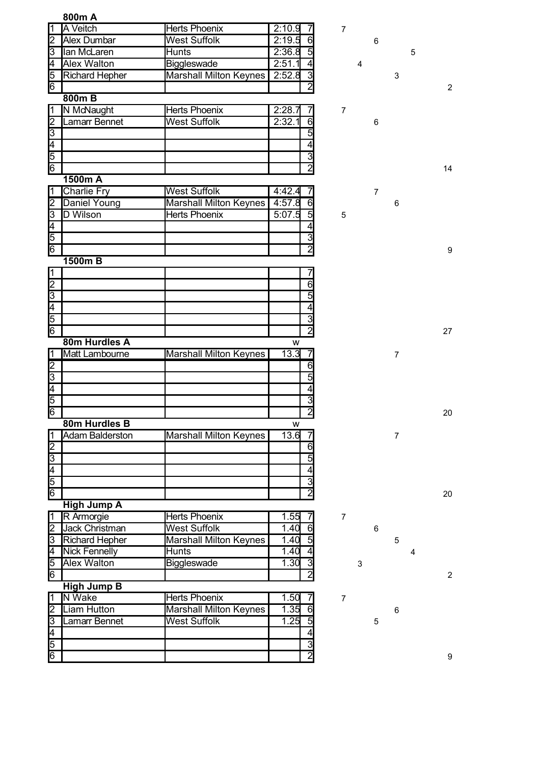|                         | 800m A                 |                               |                                  |                |                |                |   |                |
|-------------------------|------------------------|-------------------------------|----------------------------------|----------------|----------------|----------------|---|----------------|
| 1                       | <b>A</b> Veitch        | <b>Herts Phoenix</b>          | 2:10.9                           | $\overline{7}$ |                |                |   |                |
| 2                       | Alex Dumbar            | <b>West Suffolk</b>           | 2:19.5<br>6                      |                | 6              |                |   |                |
| 3                       | lan McLaren            | <b>Hunts</b>                  | 2:36.8<br>5                      |                |                |                | 5 |                |
| $\overline{\mathsf{4}}$ | <b>Alex Walton</b>     | Biggleswade                   | 2:51.1<br>$\overline{4}$         | 4              |                |                |   |                |
| 5                       | <b>Richard Hepher</b>  | <b>Marshall Milton Keynes</b> | 2:52.8<br>3                      |                |                | 3              |   |                |
| $6\overline{6}$         |                        |                               | $\overline{2}$                   |                |                |                |   | $\overline{2}$ |
|                         | 800mB                  |                               |                                  |                |                |                |   |                |
| 1                       | N McNaught             | <b>Herts Phoenix</b>          | 2:28.7<br>7                      | $\overline{7}$ |                |                |   |                |
| $\overline{2}$          | Lamarr Bennet          | <b>West Suffolk</b>           | 2:32.1<br>6                      |                | 6              |                |   |                |
| 3                       |                        |                               | 5                                |                |                |                |   |                |
| 4                       |                        |                               | $\overline{4}$                   |                |                |                |   |                |
| 5                       |                        |                               | $\overline{3}$                   |                |                |                |   |                |
| 6                       |                        |                               | $\overline{2}$                   |                |                |                |   | 14             |
|                         | 1500m A                |                               |                                  |                |                |                |   |                |
| 11                      | <b>Charlie Fry</b>     | <b>West Suffolk</b>           | 4:42.4                           |                | $\overline{7}$ |                |   |                |
| 2                       | Daniel Young           | Marshall Milton Keynes        | 4:57.8<br>$6 \mid$               |                |                | 6              |   |                |
| 3                       | D Wilson               | <b>Herts Phoenix</b>          | $\overline{5}$<br>5:07.5         | 5              |                |                |   |                |
| 4                       |                        |                               | $\overline{4}$                   |                |                |                |   |                |
| $\overline{5}$          |                        |                               | $\overline{3}$                   |                |                |                |   |                |
| 6                       |                        |                               | $\overline{2}$                   |                |                |                |   | 9              |
|                         | 1500m B                |                               |                                  |                |                |                |   |                |
| 1                       |                        |                               |                                  |                |                |                |   |                |
| $\overline{2}$          |                        |                               | 6<br>$\overline{5}$              |                |                |                |   |                |
| $\overline{3}$          |                        |                               |                                  |                |                |                |   |                |
| 4<br>5                  |                        |                               | $\overline{4}$<br>$\overline{3}$ |                |                |                |   |                |
| 6                       |                        |                               | $\overline{2}$                   |                |                |                |   |                |
|                         | 80m Hurdles A          |                               | w                                |                |                |                |   | 27             |
| 1                       | Matt Lambourne         | <b>Marshall Milton Keynes</b> | 13.3                             |                |                | $\overline{7}$ |   |                |
| $\overline{2}$          |                        |                               | 6                                |                |                |                |   |                |
| 3                       |                        |                               | $\overline{5}$                   |                |                |                |   |                |
| $\overline{4}$          |                        |                               | $\overline{4}$                   |                |                |                |   |                |
| 5                       |                        |                               | $\overline{3}$                   |                |                |                |   |                |
| $\overline{6}$          |                        |                               | $\overline{2}$                   |                |                |                |   | 20             |
|                         | 80m Hurdles B          |                               | w                                |                |                |                |   |                |
| $\vert$ 1               | <b>Adam Balderston</b> | <b>Marshall Milton Keynes</b> | 13.6                             |                |                | $\overline{7}$ |   |                |
| 2                       |                        |                               | 6                                |                |                |                |   |                |
| $\overline{3}$          |                        |                               | 5                                |                |                |                |   |                |
| $\overline{4}$          |                        |                               | $\overline{4}$                   |                |                |                |   |                |
|                         |                        |                               | $\overline{3}$                   |                |                |                |   |                |
| $\frac{5}{6}$           |                        |                               | $\bar{2}$                        |                |                |                |   | 20             |
|                         | <b>High Jump A</b>     |                               |                                  |                |                |                |   |                |
| $\overline{1}$          | R Armorgie             | Herts Phoenix                 | 1.55                             | $\overline{7}$ |                |                |   |                |
| $\overline{2}$          | <b>Jack Christman</b>  | <b>West Suffolk</b>           | 1.40<br>6                        |                | 6              |                |   |                |
| 3                       | <b>Richard Hepher</b>  | <b>Marshall Milton Keynes</b> | 5<br>1.40                        |                |                | 5              |   |                |
| $\overline{\mathsf{4}}$ | <b>Nick Fennelly</b>   | <b>Hunts</b>                  | 1.40<br>$\overline{4}$           |                |                |                | 4 |                |
| 5                       | <b>Alex Walton</b>     | Biggleswade                   | 3<br>1.30                        |                | 3              |                |   |                |
| 6                       |                        |                               | $\overline{2}$                   |                |                |                |   | $\overline{c}$ |
|                         | <b>High Jump B</b>     |                               |                                  |                |                |                |   |                |
| 1                       | <b>N</b> Wake          | <b>Herts Phoenix</b>          | 1.50<br>7                        | $\overline{7}$ |                |                |   |                |
| 2                       | Liam Hutton            | <b>Marshall Milton Keynes</b> | 1.35<br>$\overline{6}$           |                |                | 6              |   |                |
| β                       | Lamarr Bennet          | <b>West Suffolk</b>           | 1.25<br>$\overline{5}$           |                | 5              |                |   |                |
| 4                       |                        |                               | $\overline{4}$                   |                |                |                |   |                |
| 5                       |                        |                               | $\overline{3}$                   |                |                |                |   |                |
| $\overline{6}$          |                        |                               | $\overline{2}$                   |                |                |                |   | 9              |
|                         |                        |                               |                                  |                |                |                |   |                |

2

9

2

9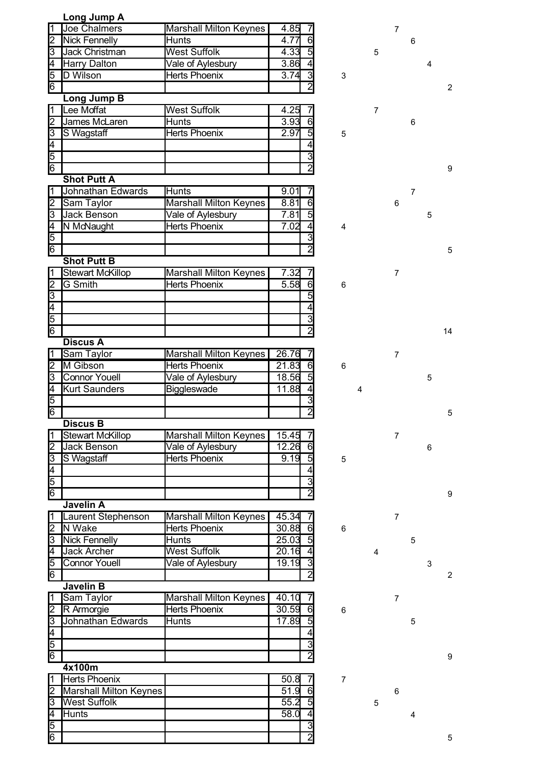|                                           | Long Jump A                   |                               |       |                |
|-------------------------------------------|-------------------------------|-------------------------------|-------|----------------|
|                                           | <b>Joe Chalmers</b>           | <b>Marshall Milton Keynes</b> | 4.85  |                |
| $\overline{c}$                            | <b>Nick Fennelly</b>          | <b>Hunts</b>                  | 4.77  | $\overline{6}$ |
| $\overline{3}$                            | <b>Jack Christman</b>         | <b>West Suffolk</b>           | 4.33  |                |
|                                           | <b>Harry Dalton</b>           | Vale of Aylesbury             | 3.86  |                |
|                                           | D Wilson                      | <b>Herts Phoenix</b>          | 3.74  |                |
| $\frac{4}{5}$ $\frac{5}{6}$               |                               |                               |       | $\frac{1}{2}$  |
|                                           | Long Jump B                   |                               |       |                |
| 1                                         | Lee Moffat                    | <b>West Suffolk</b>           | 4.25  |                |
|                                           | James McLaren                 |                               | 3.93  | 6              |
| $\frac{2}{3}$                             |                               | Hunts                         |       |                |
|                                           | S Wagstaff                    | <b>Herts Phoenix</b>          | 2.97  | $\overline{5}$ |
|                                           |                               |                               |       | $\overline{4}$ |
| 4<br> 5<br> 6                             |                               |                               |       | $\frac{3}{2}$  |
|                                           |                               |                               |       |                |
|                                           | <b>Shot Putt A</b>            |                               |       |                |
| 1                                         | Johnathan Edwards             | Hunts                         | 9.01  |                |
| $\overline{\mathsf{c}}$                   | Sam Taylor                    | <b>Marshall Milton Keynes</b> | 8.81  | $\overline{6}$ |
| $\overline{3}$                            | <b>Jack Benson</b>            | Vale of Aylesbury             | 7.81  | $rac{1}{4}$    |
|                                           | N McNaught                    | <b>Herts Phoenix</b>          | 7.02  |                |
| $\frac{4}{5}$                             |                               |                               |       |                |
| 6                                         |                               |                               |       | $\frac{3}{2}$  |
|                                           |                               |                               |       |                |
|                                           | <b>Shot Putt B</b>            |                               |       |                |
| 1                                         | <b>Stewart McKillop</b>       | <b>Marshall Milton Keynes</b> | 7.32  | 7              |
| $\overline{2}$                            | <b>G</b> Smith                | <b>Herts Phoenix</b>          | 5.58  | $\overline{6}$ |
|                                           |                               |                               |       | $\overline{5}$ |
| $\frac{3}{6}$                             |                               |                               |       | 4              |
|                                           |                               |                               |       |                |
|                                           |                               |                               |       | $\frac{3}{2}$  |
|                                           | <b>Discus A</b>               |                               |       |                |
| 11                                        | Sam Taylor                    | <b>Marshall Milton Keynes</b> | 26.76 |                |
|                                           | M Gibson                      | <b>Herts Phoenix</b>          | 21.83 |                |
| $\overline{2}$                            |                               |                               |       | $\frac{6}{5}$  |
| $\overline{3}$                            | <b>Connor Youell</b>          | Vale of Aylesbury             | 18.56 |                |
| $\frac{4}{5}$                             | <b>Kurt Saunders</b>          | <b>Biggleswade</b>            | 11.88 | $\overline{4}$ |
|                                           |                               |                               |       | $\overline{3}$ |
| $\overline{6}$                            |                               |                               |       | $\overline{2}$ |
|                                           | <b>Discus B</b>               |                               |       |                |
| 1                                         | Stewart McKillop              | <b>Marshall Milton Keynes</b> | 15.45 | 7              |
| $\overline{2}$                            | Jack Benson                   | Vale of Aylesbury             | 12.26 | $\overline{6}$ |
|                                           | S Wagstaff                    | <b>Herts Phoenix</b>          | 9.19  |                |
|                                           |                               |                               |       | $\frac{5}{4}$  |
|                                           |                               |                               |       |                |
| $\frac{3}{4}$ $\frac{4}{5}$ $\frac{1}{6}$ |                               |                               |       | $\frac{3}{2}$  |
|                                           | <b>Javelin A</b>              |                               |       |                |
|                                           |                               |                               |       |                |
| 1                                         | Laurent Stephenson            | Marshall Milton Keynes        | 45.34 | 7              |
| $\overline{2}$                            | N Wake                        | <b>Herts Phoenix</b>          | 30.88 | $\overline{6}$ |
| $\overline{3}$                            | <b>Nick Fennelly</b>          | Hunts                         | 25.03 | $\frac{5}{4}$  |
| $\overline{4}$                            | <b>Jack Archer</b>            | <b>West Suffolk</b>           | 20.16 |                |
| $\frac{5}{6}$                             | <b>Connor Youell</b>          | Vale of Aylesbury             | 19.19 | $\frac{3}{2}$  |
|                                           |                               |                               |       |                |
|                                           | <b>Javelin B</b>              |                               |       |                |
| 1                                         | Sam Taylor                    | <b>Marshall Milton Keynes</b> | 40.10 | 7              |
|                                           | R Armorgie                    | <b>Herts Phoenix</b>          | 30.59 |                |
|                                           | Johnathan Edwards             | <b>Hunts</b>                  | 17.89 | $rac{6}{5}$    |
| $\frac{2}{3}$                             |                               |                               |       | $\overline{4}$ |
|                                           |                               |                               |       |                |
| $\frac{5}{6}$                             |                               |                               |       | $\frac{3}{2}$  |
|                                           |                               |                               |       |                |
|                                           | 4x100m                        |                               |       |                |
| l1                                        | Herts Phoenix                 |                               | 50.8  |                |
|                                           | <b>Marshall Milton Keynes</b> |                               | 51.9  |                |
| တြ                                        | <b>West Suffolk</b>           |                               | 55.2  | $\frac{1}{5}$  |
| 4                                         | <b>Hunts</b>                  |                               | 58.0  | $\overline{4}$ |
| 5                                         |                               |                               |       | $\overline{3}$ |
| 6                                         |                               |                               |       | $\overline{2}$ |
|                                           |                               |                               |       |                |

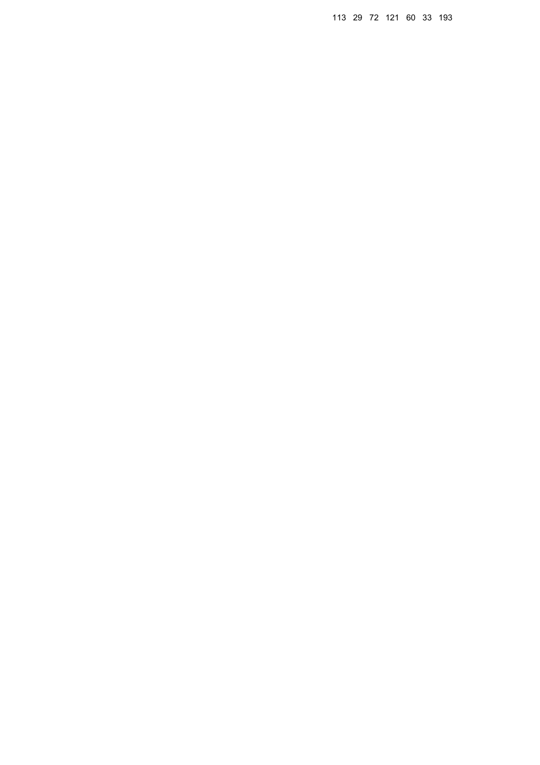29 72 121 60 33 193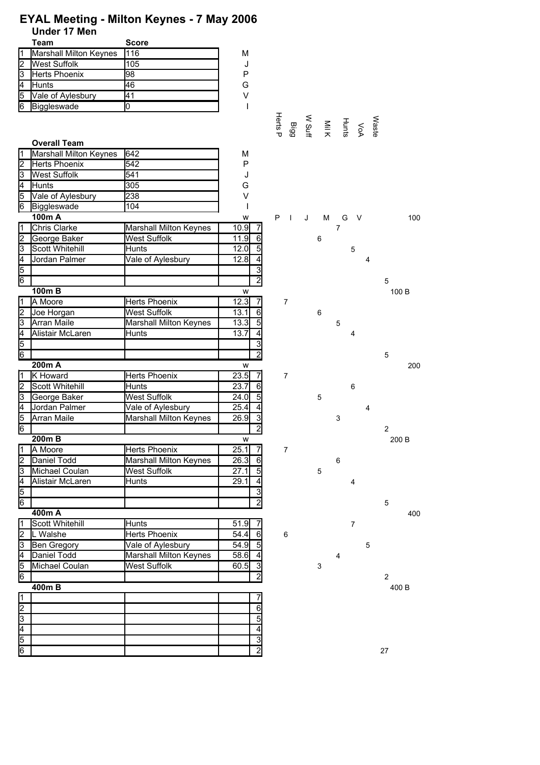## **EYAL Meeting - Milton Keynes - 7 May 2006 Under 17 Men**

|    | Team                   | <b>Score</b> |   |
|----|------------------------|--------------|---|
|    | Marshall Milton Keynes | 116          | м |
| l2 | <b>West Suffolk</b>    | 105          |   |
| Iз | Herts Phoenix          | 98           | P |
| l4 | Hunts                  | 46           | G |
| l5 | Vale of Aylesbury      | 41           | V |
| 16 | Biggleswade            |              |   |

|                         | <b>Overall Team</b>           |                               |                         | ᠊ᠣ<br>G             | ⇉ | ᄎ |                | ō<br>⋗         | ö |                  |       |
|-------------------------|-------------------------------|-------------------------------|-------------------------|---------------------|---|---|----------------|----------------|---|------------------|-------|
| Ī1                      | <b>Marshall Milton Keynes</b> | 642                           | М                       |                     |   |   |                |                |   |                  |       |
| 2                       | Herts Phoenix                 | 542                           | P                       |                     |   |   |                |                |   |                  |       |
| 3                       | <b>West Suffolk</b>           | 541                           | J                       |                     |   |   |                |                |   |                  |       |
| Ŧ,                      | <b>Hunts</b>                  | 305                           | G                       |                     |   |   |                |                |   |                  |       |
| 5                       | Vale of Aylesbury             | 238                           | V                       |                     |   |   |                |                |   |                  |       |
| 6                       | Biggleswade                   | 104                           |                         |                     |   |   |                |                |   |                  |       |
|                         | 100m A                        |                               | W                       | P<br><b>Taratta</b> | J | м | G              | - V            |   |                  | 100   |
| Π                       | Chris Clarke                  | Marshall Milton Keynes        | 10.9                    |                     |   |   | $\overline{7}$ |                |   |                  |       |
| 2                       | George Baker                  | <b>West Suffolk</b>           | 11.9<br>61              |                     |   | 6 |                |                |   |                  |       |
| β                       | Scott Whitehill               | <b>Hunts</b>                  | 12.0<br>$\overline{5}$  |                     |   |   |                | 5              |   |                  |       |
| $\overline{\mathsf{4}}$ | Jordan Palmer                 | Vale of Aylesbury             | 12.8<br>$\overline{4}$  |                     |   |   |                |                | 4 |                  |       |
|                         |                               |                               | $\overline{3}$          |                     |   |   |                |                |   |                  |       |
| $\frac{5}{6}$           |                               |                               | $\overline{c}$          |                     |   |   |                |                |   | 5                |       |
|                         | $100m$ B                      |                               | W                       |                     |   |   |                |                |   |                  | 100 B |
| $\overline{1}$          | A Moore                       | Herts Phoenix                 | 12.3<br>71              | $\overline{7}$      |   |   |                |                |   |                  |       |
| 2                       | Joe Horgan                    | <b>West Suffolk</b>           | 13.1<br>6               |                     |   | 6 |                |                |   |                  |       |
| $\overline{3}$          | <b>Arran Maile</b>            | Marshall Milton Keynes        | 13.3<br>$5\overline{)}$ |                     |   |   | 5              |                |   |                  |       |
| 4                       | Alistair McLaren              | Hunts                         | 13.7<br>$\overline{4}$  |                     |   |   |                | 4              |   |                  |       |
|                         |                               |                               | $\overline{3}$          |                     |   |   |                |                |   |                  |       |
| $\frac{5}{6}$           |                               |                               | $\overline{2}$          |                     |   |   |                |                |   | 5                |       |
|                         | 200m A                        |                               | W                       |                     |   |   |                |                |   |                  | 200   |
| $\overline{1}$          | K Howard                      | Herts Phoenix                 | 23.5<br>$\overline{7}$  | $\overline{7}$      |   |   |                |                |   |                  |       |
| $\overline{2}$          | Scott Whitehill               | Hunts                         | 23.7<br>6               |                     |   |   |                | 6              |   |                  |       |
| 3                       | George Baker                  | <b>West Suffolk</b>           | 24.0<br>$\overline{5}$  |                     |   | 5 |                |                |   |                  |       |
| Ī4                      | Jordan Palmer                 | Vale of Aylesbury             | 25.4<br>4               |                     |   |   |                |                | 4 |                  |       |
| 5                       | Arran Maile                   | Marshall Milton Keynes        | 26.9<br>$\overline{3}$  |                     |   |   | 3              |                |   |                  |       |
| $\overline{6}$          |                               |                               | $\overline{2}$          |                     |   |   |                |                |   | $\overline{c}$   |       |
|                         | $200m$ B                      |                               | W                       |                     |   |   |                |                |   |                  | 200 B |
| Ī1                      | A Moore                       | <b>Herts Phoenix</b>          | 25.1<br>71              | $\overline{7}$      |   |   |                |                |   |                  |       |
| 2                       | Daniel Todd                   | Marshall Milton Keynes        | 26.3<br>6               |                     |   |   | 6              |                |   |                  |       |
| $\overline{3}$          | Michael Coulan                | <b>West Suffolk</b>           | 27.1<br>5               |                     |   | 5 |                |                |   |                  |       |
| Ī4                      | Alistair McLaren              | Hunts                         | 29.1<br>4               |                     |   |   |                | 4              |   |                  |       |
| 5                       |                               |                               | 3                       |                     |   |   |                |                |   |                  |       |
| 6                       |                               |                               | $\overline{2}$          |                     |   |   |                |                |   | 5                |       |
|                         | 400m A                        |                               |                         |                     |   |   |                |                |   |                  | 400   |
| ī                       | Scott Whitehill               | Hunts                         | $51.\overline{9}$<br>7  |                     |   |   |                | $\overline{7}$ |   |                  |       |
| $\overline{2}$          | L Walshe                      | Herts Phoenix                 | 6<br>54.4               | 6                   |   |   |                |                |   |                  |       |
| 3                       | Ben Gregory                   | Vale of Aylesbury             | 54.9<br>$\overline{5}$  |                     |   |   |                |                | 5 |                  |       |
| 4                       | Daniel Todd                   | <b>Marshall Milton Keynes</b> | 58.6                    |                     |   |   | 4              |                |   |                  |       |
| 5                       | Michael Coulan                | <b>West Suffolk</b>           | 60.5<br>3               |                     |   | 3 |                |                |   |                  |       |
| 6                       |                               |                               | $\overline{2}$          |                     |   |   |                |                |   | $\boldsymbol{2}$ |       |
|                         | 400mB                         |                               |                         |                     |   |   |                |                |   |                  | 400 B |
| $\overline{\mathbf{1}}$ |                               |                               |                         |                     |   |   |                |                |   |                  |       |
| Z                       |                               |                               | 6                       |                     |   |   |                |                |   |                  |       |
| $\overline{3}$          |                               |                               | 5                       |                     |   |   |                |                |   |                  |       |
| $\frac{4}{5}$           |                               |                               | 4                       |                     |   |   |                |                |   |                  |       |
|                         |                               |                               | 3                       |                     |   |   |                |                |   |                  |       |
| 6                       |                               |                               | $\overline{c}$          |                     |   |   |                |                |   | 27               |       |













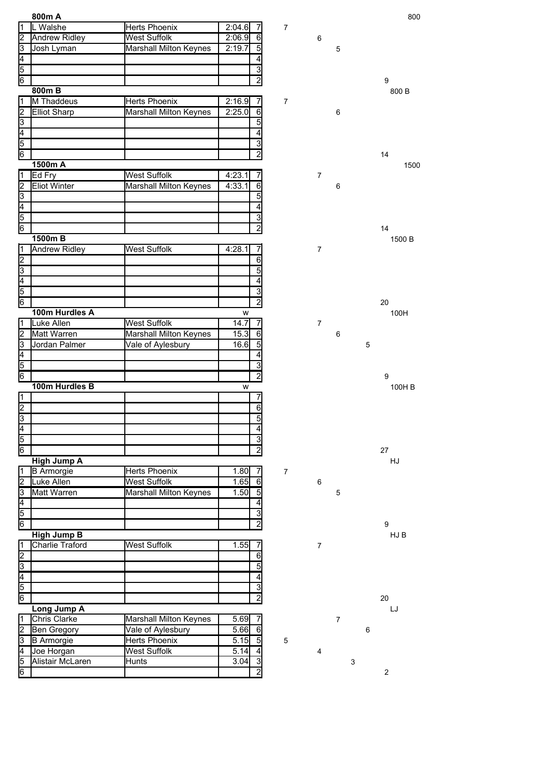|                                           | 800m A                 |                               |                         |                  |                |                           |   | 800              |
|-------------------------------------------|------------------------|-------------------------------|-------------------------|------------------|----------------|---------------------------|---|------------------|
| 11                                        | L Walshe               | <b>Herts Phoenix</b>          | 2:04.6<br>71            | $\overline{7}$   |                |                           |   |                  |
| 2                                         | <b>Andrew Ridley</b>   | <b>West Suffolk</b>           | 2:06.9<br>6             |                  | 6              |                           |   |                  |
| $\overline{3}$                            | Josh Lyman             | <b>Marshall Milton Keynes</b> | 2:19.7<br>5             |                  |                | 5                         |   |                  |
| $\overline{4}$                            |                        |                               | 4                       |                  |                |                           |   |                  |
|                                           |                        |                               | 3                       |                  |                |                           |   |                  |
| $\frac{5}{6}$                             |                        |                               | $\overline{2}$          |                  |                |                           |   | 9                |
|                                           | 800mB                  |                               |                         |                  |                |                           |   | 800 B            |
| l1                                        | M Thaddeus             | <b>Herts Phoenix</b>          | 2:16.9<br>7             | $\overline{7}$   |                |                           |   |                  |
| 2                                         | <b>Elliot Sharp</b>    | Marshall Milton Keynes        | 2:25.0<br>6             |                  |                | 6                         |   |                  |
| 3                                         |                        |                               | 5 <sub>5</sub>          |                  |                |                           |   |                  |
|                                           |                        |                               |                         |                  |                |                           |   |                  |
| Ā                                         |                        |                               | 4                       |                  |                |                           |   |                  |
| 5                                         |                        |                               | 3                       |                  |                |                           |   |                  |
| $\overline{6}$                            |                        |                               | $\overline{2}$          |                  |                |                           |   | 14               |
|                                           | 1500m A                |                               |                         |                  |                |                           |   | 1500             |
| Ī1                                        | Ed Fry                 | <b>West Suffolk</b>           | 4:23.1                  |                  | $\overline{7}$ |                           |   |                  |
| ╔                                         | <b>Eliot Winter</b>    | <b>Marshall Milton Keynes</b> | 4:33.1<br>6             |                  |                | 6                         |   |                  |
| β                                         |                        |                               | $\overline{5}$          |                  |                |                           |   |                  |
| $\overline{4}$                            |                        |                               | 4                       |                  |                |                           |   |                  |
| 5                                         |                        |                               | 3                       |                  |                |                           |   |                  |
| 6                                         |                        |                               | $\overline{2}$          |                  |                |                           |   | 14               |
|                                           | 1500m B                |                               |                         |                  |                |                           |   | 1500 B           |
| $\overline{1}$                            | <b>Andrew Ridley</b>   | <b>West Suffolk</b>           | 4:28.1                  |                  | $\overline{7}$ |                           |   |                  |
| $\overline{2}$                            |                        |                               | 6                       |                  |                |                           |   |                  |
|                                           |                        |                               | $\overline{5}$          |                  |                |                           |   |                  |
| $\frac{3}{4}$ $\frac{4}{5}$ $\frac{5}{6}$ |                        |                               | 4                       |                  |                |                           |   |                  |
|                                           |                        |                               |                         |                  |                |                           |   |                  |
|                                           |                        |                               | 3                       |                  |                |                           |   |                  |
|                                           |                        |                               | $\overline{2}$          |                  |                |                           |   | 20               |
|                                           | 100m Hurdles A         |                               | W                       |                  |                |                           |   | 100H             |
| 1                                         | Luke Allen             | <b>West Suffolk</b>           | 14.7<br>7               |                  | $\overline{7}$ |                           |   |                  |
| 2                                         | Matt Warren            | Marshall Milton Keynes        | 15.3<br>6               |                  |                | 6                         |   |                  |
| 3                                         | Jordan Palmer          | Vale of Aylesbury             | 16.6<br>$5\overline{)}$ |                  |                |                           | 5 |                  |
| $\overline{4}$                            |                        |                               | 4                       |                  |                |                           |   |                  |
| $\frac{5}{6}$                             |                        |                               | $\overline{3}$          |                  |                |                           |   |                  |
|                                           |                        |                               | $\overline{2}$          |                  |                |                           |   | 9                |
|                                           | 100m Hurdles B         |                               | W                       |                  |                |                           |   | 100H B           |
| ⊺⊺                                        |                        |                               | 7                       |                  |                |                           |   |                  |
| $\overline{2}$                            |                        |                               | 6                       |                  |                |                           |   |                  |
| 3                                         |                        |                               | 5 <sub>l</sub>          |                  |                |                           |   |                  |
|                                           |                        |                               | 4                       |                  |                |                           |   |                  |
|                                           |                        |                               | ω                       |                  |                |                           |   |                  |
| $\frac{4}{6}$                             |                        |                               | $\overline{2}$          |                  |                |                           |   | 27               |
|                                           | <b>High Jump A</b>     |                               |                         |                  |                |                           |   | HJ               |
| 1                                         | <b>B</b> Armorgie      | <b>Herts Phoenix</b>          | 1.80<br>7               | $\boldsymbol{7}$ |                |                           |   |                  |
| $\overline{2}$                            | Luke Allen             | <b>West Suffolk</b>           | 1.65<br>6               |                  | 6              |                           |   |                  |
| β                                         | <b>Matt Warren</b>     | Marshall Milton Keynes        | 1.50<br>$\overline{5}$  |                  |                |                           |   |                  |
|                                           |                        |                               |                         |                  |                | $\mathbf 5$               |   |                  |
| $\overline{4}$                            |                        |                               | $\overline{4}$          |                  |                |                           |   |                  |
| 5                                         |                        |                               | دی                      |                  |                |                           |   |                  |
| $6\overline{6}$                           |                        |                               | $\overline{2}$          |                  |                |                           |   | 9                |
|                                           | <b>High Jump B</b>     |                               |                         |                  |                |                           |   | HJ B             |
|                                           | <b>Charlie Traford</b> | <b>West Suffolk</b>           | 1.55                    |                  | $\overline{7}$ |                           |   |                  |
|                                           |                        |                               | 6                       |                  |                |                           |   |                  |
| $\frac{1}{2}$                             |                        |                               | 5                       |                  |                |                           |   |                  |
|                                           |                        |                               | 4                       |                  |                |                           |   |                  |
|                                           |                        |                               | $\overline{3}$          |                  |                |                           |   |                  |
| $\frac{4}{5}$                             |                        |                               | $\overline{2}$          |                  |                |                           |   | 20               |
|                                           | Long Jump A            |                               |                         |                  |                |                           |   | LJ               |
| ł1                                        | <b>Chris Clarke</b>    | <b>Marshall Milton Keynes</b> | 5.69                    |                  |                | $\overline{7}$            |   |                  |
| $\overline{2}$                            | Ben Gregory            | Vale of Aylesbury             | 5.66<br>6               |                  |                |                           | 6 |                  |
| 3                                         | <b>B</b> Armorgie      | <b>Herts Phoenix</b>          | 5.15<br>$5\overline{)}$ | 5                |                |                           |   |                  |
| Ā                                         |                        | <b>West Suffolk</b>           | 5.14<br>4               |                  |                |                           |   |                  |
|                                           | Joe Horgan             |                               |                         |                  | 4              |                           |   |                  |
| $\overline{5}$                            | Alistair McLaren       | Hunts                         | 3.04<br>$\overline{3}$  |                  |                | $\ensuremath{\mathsf{3}}$ |   |                  |
| 6                                         |                        |                               | $\overline{2}$          |                  |                |                           |   | $\boldsymbol{2}$ |

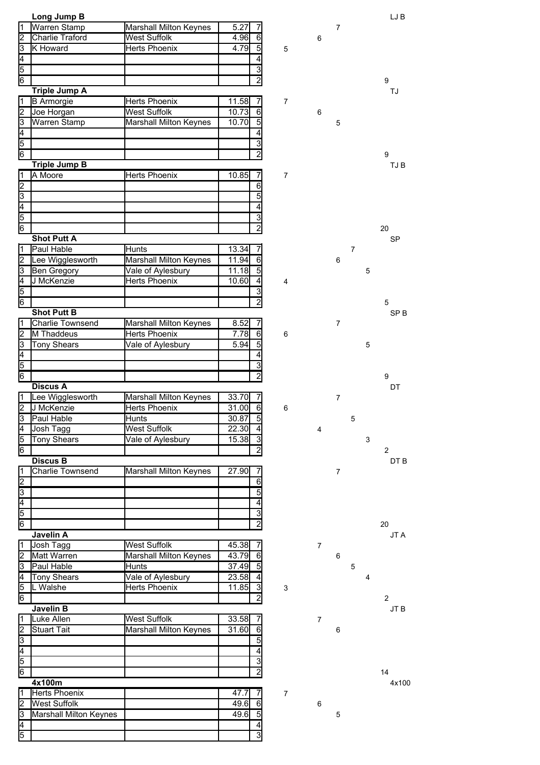|                | Long Jump B             |                               |       |                 |                           |                |                |                |   | LJ B            |
|----------------|-------------------------|-------------------------------|-------|-----------------|---------------------------|----------------|----------------|----------------|---|-----------------|
| 1              | Warren Stamp            | Marshall Milton Keynes        | 5.27  | 7               |                           |                | $\overline{7}$ |                |   |                 |
| 2              | <b>Charlie Traford</b>  | <b>West Suffolk</b>           | 4.96  | 6               |                           | 6              |                |                |   |                 |
| З              | K Howard                | Herts Phoenix                 | 4.79  | 5               | 5                         |                |                |                |   |                 |
| 4              |                         |                               |       | 4               |                           |                |                |                |   |                 |
| 5              |                         |                               |       | 3               |                           |                |                |                |   |                 |
| 6              |                         |                               |       | $\overline{2}$  |                           |                |                |                |   | 9               |
|                |                         |                               |       |                 |                           |                |                |                |   |                 |
|                | <b>Triple Jump A</b>    |                               |       |                 |                           |                |                |                |   | TJ              |
| 1              | <b>B</b> Armorgie       | <b>Herts Phoenix</b>          | 11.58 | 7               | $\overline{7}$            |                |                |                |   |                 |
| $\overline{2}$ | Joe Horgan              | <b>West Suffolk</b>           | 10.73 | $\overline{6}$  |                           | 6              |                |                |   |                 |
| 3              | <b>Warren Stamp</b>     | Marshall Milton Keynes        | 10.70 | $\overline{5}$  |                           |                | 5              |                |   |                 |
| Ā              |                         |                               |       |                 |                           |                |                |                |   |                 |
| 5              |                         |                               |       | 3               |                           |                |                |                |   |                 |
| 6              |                         |                               |       | $\overline{2}$  |                           |                |                |                |   | 9               |
|                | <b>Triple Jump B</b>    |                               |       |                 |                           |                |                |                |   | TJ B            |
| $\overline{1}$ | A Moore                 | <b>Herts Phoenix</b>          | 10.85 | 7               | 7                         |                |                |                |   |                 |
| $\overline{2}$ |                         |                               |       | $\overline{6}$  |                           |                |                |                |   |                 |
| cο             |                         |                               |       | $\overline{5}$  |                           |                |                |                |   |                 |
| $\overline{4}$ |                         |                               |       | 4               |                           |                |                |                |   |                 |
| 5              |                         |                               |       | 3               |                           |                |                |                |   |                 |
| 6              |                         |                               |       | $\overline{2}$  |                           |                |                |                |   |                 |
|                |                         |                               |       |                 |                           |                |                |                |   | 20              |
|                | <b>Shot Putt A</b>      |                               |       |                 |                           |                |                |                |   | <b>SP</b>       |
| 1              | Paul Hable              | Hunts                         | 13.34 |                 |                           |                |                | $\overline{7}$ |   |                 |
| 2              | Lee Wigglesworth        | <b>Marshall Milton Keynes</b> | 11.94 | 6               |                           |                | 6              |                |   |                 |
| З              | <b>Ben Gregory</b>      | Vale of Aylesbury             | 11.18 | 5               |                           |                |                |                | 5 |                 |
| 4              | J McKenzie              | <b>Herts Phoenix</b>          | 10.60 | $\overline{4}$  | 4                         |                |                |                |   |                 |
| $\overline{5}$ |                         |                               |       | 3               |                           |                |                |                |   |                 |
| 6              |                         |                               |       | $\overline{2}$  |                           |                |                |                |   | 5               |
|                | <b>Shot Putt B</b>      |                               |       |                 |                           |                |                |                |   | SP <sub>B</sub> |
| 1              | <b>Charlie Townsend</b> | Marshall Milton Keynes        | 8.52  | 7               |                           |                | $\overline{7}$ |                |   |                 |
| 2              | M Thaddeus              | <b>Herts Phoenix</b>          | 7.78  | 6               | 6                         |                |                |                |   |                 |
| 3              | <b>Tony Shears</b>      | Vale of Aylesbury             | 5.94  | 5               |                           |                |                |                | 5 |                 |
|                |                         |                               |       |                 |                           |                |                |                |   |                 |
| 4              |                         |                               |       |                 |                           |                |                |                |   |                 |
| 5              |                         |                               |       | 3               |                           |                |                |                |   |                 |
| 6              |                         |                               |       |                 |                           |                |                |                |   | 9               |
|                | <b>Discus A</b>         |                               |       |                 |                           |                |                |                |   | DT              |
| 1              | Lee Wigglesworth        | Marshall Milton Keynes        | 33.70 | 7               |                           |                | $\overline{7}$ |                |   |                 |
| $\overline{2}$ | J McKenzie              | <b>Herts Phoenix</b>          | 31.00 | $\overline{6}$  | 6                         |                |                |                |   |                 |
| $\overline{3}$ | Paul Hable              | <b>Hunts</b>                  | 30.87 | $\overline{5}$  |                           |                |                | 5              |   |                 |
| 4              | Josh Tagg               | <b>West Suffolk</b>           | 22.30 | $\overline{4}$  |                           | $\overline{4}$ |                |                |   |                 |
| 5              | <b>Tony Shears</b>      | Vale of Aylesbury             | 15.38 |                 |                           |                |                |                | 3 |                 |
| ြ              |                         |                               |       | 2               |                           |                |                |                |   | $\overline{2}$  |
|                | <b>Discus B</b>         |                               |       |                 |                           |                |                |                |   | DT B            |
| 11             | <b>Charlie Townsend</b> | <b>Marshall Milton Keynes</b> | 27.90 |                 |                           |                | $\overline{7}$ |                |   |                 |
| 2              |                         |                               |       | $6\overline{6}$ |                           |                |                |                |   |                 |
|                |                         |                               |       |                 |                           |                |                |                |   |                 |
| 3              |                         |                               |       | 5               |                           |                |                |                |   |                 |
| 4              |                         |                               |       | 4               |                           |                |                |                |   |                 |
| 5              |                         |                               |       | 3               |                           |                |                |                |   |                 |
| 6              |                         |                               |       | 2               |                           |                |                |                |   | 20              |
|                | Javelin A               |                               |       |                 |                           |                |                |                |   | JT A            |
| 1              | Josh Tagg               | <b>West Suffolk</b>           | 45.38 | 7               |                           | $\overline{7}$ |                |                |   |                 |
| 2              | Matt Warren             | Marshall Milton Keynes        | 43.79 | $6 \mid$        |                           |                | 6              |                |   |                 |
| 3              | Paul Hable              | <b>Hunts</b>                  | 37.49 |                 |                           |                |                | 5              |   |                 |
| A,             | Tony Shears             | Vale of Aylesbury             | 23.58 |                 |                           |                |                |                | 4 |                 |
| 5              | L Walshe                | <b>Herts Phoenix</b>          | 11.85 | $\overline{3}$  | $\ensuremath{\mathsf{3}}$ |                |                |                |   |                 |
|                |                         |                               |       | 2               |                           |                |                |                |   | $\overline{c}$  |
| $\overline{6}$ |                         |                               |       |                 |                           |                |                |                |   |                 |
|                | Javelin B               |                               |       |                 |                           |                |                |                |   | JT B            |
| 1              | Luke Allen              | <b>West Suffolk</b>           | 33.58 |                 |                           | $\overline{7}$ |                |                |   |                 |
| 2              | <b>Stuart Tait</b>      | Marshall Milton Keynes        | 31.60 | 6               |                           |                | 6              |                |   |                 |
| 3              |                         |                               |       | 5               |                           |                |                |                |   |                 |
| 4              |                         |                               |       |                 |                           |                |                |                |   |                 |
| 5              |                         |                               |       |                 |                           |                |                |                |   |                 |
| 6              |                         |                               |       | $\overline{c}$  |                           |                |                |                |   | 14              |
|                | 4x100m                  |                               |       |                 |                           |                |                |                |   | 4x100           |
| 1              | <b>Herts Phoenix</b>    |                               | 47.7  |                 | $\overline{7}$            |                |                |                |   |                 |
| 2              | <b>West Suffolk</b>     |                               | 49.6  |                 |                           | 6              |                |                |   |                 |
| 3              | Marshall Milton Keynes  |                               | 49.6  | $5\overline{)}$ |                           |                | 5              |                |   |                 |
| 4              |                         |                               |       | $\overline{4}$  |                           |                |                |                |   |                 |
|                |                         |                               |       | 3               |                           |                |                |                |   |                 |
| 5              |                         |                               |       |                 |                           |                |                |                |   |                 |

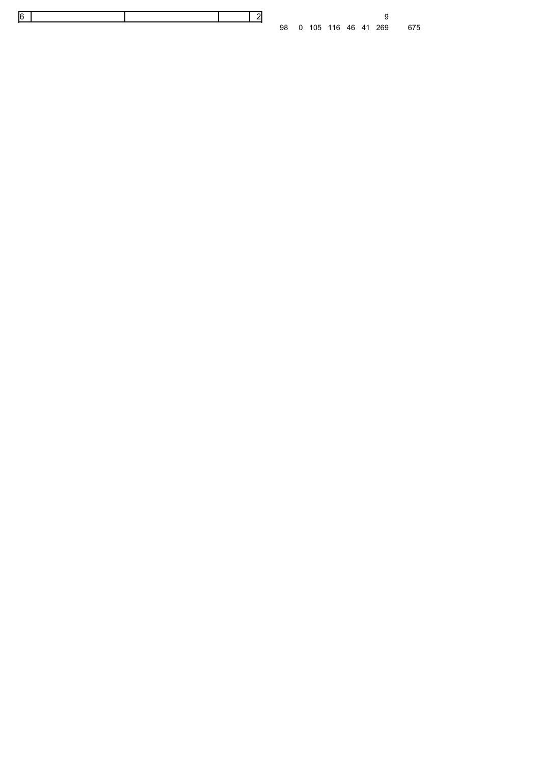0 105 116 46 41 269 675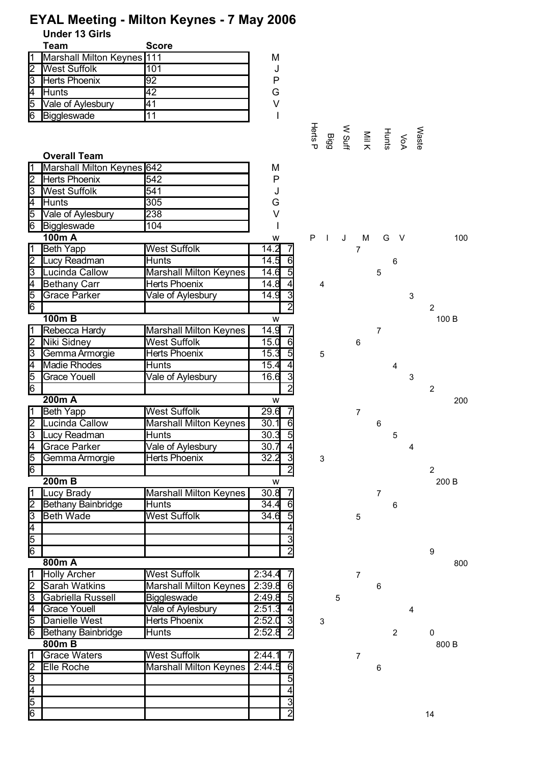|                         | <b>Under 13 Girls</b>      | ETAL Meeting - Militon Reynes - 7 May 2006 |        |                  |          |   |                 |                                        |                |                |                |
|-------------------------|----------------------------|--------------------------------------------|--------|------------------|----------|---|-----------------|----------------------------------------|----------------|----------------|----------------|
|                         | <b>Team</b>                | <b>Score</b>                               |        |                  |          |   |                 |                                        |                |                |                |
|                         | Marshall Milton Keynes 111 |                                            | M      |                  |          |   |                 |                                        |                |                |                |
|                         |                            | 101                                        |        |                  |          |   |                 |                                        |                |                |                |
| $\overline{c}$          | <b>West Suffolk</b>        |                                            | J<br>P |                  |          |   |                 |                                        |                |                |                |
| 3                       | Herts Phoenix              | 92                                         |        |                  |          |   |                 |                                        |                |                |                |
| 4                       | Hunts                      | 42                                         | G      |                  |          |   |                 |                                        |                |                |                |
| 5                       | Vale of Aylesbury          | $\overline{41}$                            | $\vee$ |                  |          |   |                 |                                        |                |                |                |
| 6                       | Biggleswade                | 11                                         |        |                  |          |   |                 |                                        |                |                |                |
|                         |                            |                                            |        |                  |          |   |                 | VoA<br>Huil Wauf<br>Herts P<br>Herts P |                |                |                |
|                         |                            |                                            |        |                  |          |   |                 |                                        |                | Waste          |                |
|                         | <b>Overall Team</b>        |                                            |        |                  |          |   |                 |                                        |                |                |                |
|                         | Marshall Milton Keynes 642 |                                            | M      |                  |          |   |                 |                                        |                |                |                |
| 2                       | <b>Herts Phoenix</b>       | 542                                        | P      |                  |          |   |                 |                                        |                |                |                |
| Ιs                      | <b>West Suffolk</b>        | 541                                        | J      |                  |          |   |                 |                                        |                |                |                |
| 4                       | Hunts                      | 305                                        | G      |                  |          |   |                 |                                        |                |                |                |
|                         |                            |                                            | $\vee$ |                  |          |   |                 |                                        |                |                |                |
| 5                       | Vale of Aylesbury          | 238                                        |        |                  |          |   |                 |                                        |                |                |                |
| 6                       | Biggleswade                | 104                                        |        |                  |          |   |                 |                                        |                |                |                |
|                         | 100m A                     |                                            | W      |                  | $P \mid$ | J | M               | G                                      | $\vee$         |                | 100            |
| 1                       | Beth Yapp                  | <b>West Suffolk</b>                        | 14.2   |                  |          |   | $\overline{7}$  |                                        |                |                |                |
| 2                       | Lucy Readman               | <b>Hunts</b>                               | 14.5   | 6                |          |   |                 |                                        | 6              |                |                |
| SΙ                      | Lucinda Callow             | <b>Marshall Milton Keynes</b>              | 14.6   | $\overline{5}$   |          |   |                 | 5                                      |                |                |                |
| 4                       | <b>Bethany Carr</b>        | <b>Herts Phoenix</b>                       | 14.8   | $\overline{4}$   | 4        |   |                 |                                        |                |                |                |
| 5                       | <b>Grace Parker</b>        | Vale of Aylesbury                          | 14.9   | 3                |          |   |                 |                                        |                | 3              |                |
| 6                       |                            |                                            |        | $\overline{2}$   |          |   |                 |                                        |                |                | $\overline{2}$ |
|                         | $100m$ B                   |                                            | W      |                  |          |   |                 |                                        |                |                | 100 B          |
|                         | Rebecca Hardy              | Marshall Milton Keynes                     | 14.9   | 7                |          |   |                 | 7                                      |                |                |                |
| 2                       | Niki Sidney                | <b>West Suffolk</b>                        | 15.0   | 6                |          |   | $6\phantom{1}6$ |                                        |                |                |                |
| 3                       | Gemma Armorgie             | <b>Herts Phoenix</b>                       | 15.3   | $\overline{5}$   | 5        |   |                 |                                        |                |                |                |
| 4                       | <b>Madie Rhodes</b>        | <b>Hunts</b>                               | 15.4   | $\overline{4}$   |          |   |                 |                                        | 4              |                |                |
| 5                       | <b>Grace Youell</b>        | Vale of Aylesbury                          | 16.6   | 3                |          |   |                 |                                        |                | $\mathfrak{S}$ |                |
| $\overline{6}$          |                            |                                            |        | $\overline{2}$   |          |   |                 |                                        |                |                | $\overline{2}$ |
|                         | 200m A                     |                                            | W      |                  |          |   |                 |                                        |                |                | 200            |
| 1                       | <b>Beth Yapp</b>           | <b>West Suffolk</b>                        | 29.6   |                  |          |   | $\overline{7}$  |                                        |                |                |                |
| $\overline{2}$          | Lucinda Callow             | Marshall Milton Keynes                     | 30.1   | $\overline{6}$   |          |   |                 |                                        |                |                |                |
|                         |                            |                                            |        |                  |          |   |                 | 6                                      |                |                |                |
| $\overline{3}$          | Lucy Readman               | <b>Hunts</b>                               | 30.3   | $\overline{5}$   |          |   |                 |                                        | 5              |                |                |
| 4                       | <b>Grace Parker</b>        | Vale of Aylesbury                          | 30.7   | 4                |          |   |                 |                                        |                | $\overline{4}$ |                |
| 5                       | Gemma Armorgie             | <b>Herts Phoenix</b>                       | 32.2   | $\overline{3}$   | 3        |   |                 |                                        |                |                |                |
| 6                       |                            |                                            |        | $\overline{2}$   |          |   |                 |                                        |                |                | $\overline{2}$ |
|                         | $200m$ B                   |                                            | W      |                  |          |   |                 |                                        |                |                | 200 B          |
|                         | Lucy Brady                 | <b>Marshall Milton Keynes</b>              | 30.8   |                  |          |   |                 | 7                                      |                |                |                |
| $\overline{\mathbf{c}}$ | Bethany Bainbridge         | <b>Hunts</b>                               | 34.4   | 6                |          |   |                 |                                        | 6              |                |                |
| 3                       | <b>Beth Wade</b>           | West Suffolk                               | 34.6   | 5                |          |   | 5               |                                        |                |                |                |
| 4                       |                            |                                            |        | 4                |          |   |                 |                                        |                |                |                |
| 5                       |                            |                                            |        | 3                |          |   |                 |                                        |                |                |                |
| 6                       |                            |                                            |        | $\overline{2}$   |          |   |                 |                                        |                |                | 9              |
|                         | 800m A                     |                                            |        |                  |          |   |                 |                                        |                |                | 800            |
|                         | <b>Holly Archer</b>        | <b>West Suffolk</b>                        | 2:34.4 |                  |          |   | $\overline{7}$  |                                        |                |                |                |
|                         | <b>Sarah Watkins</b>       | <b>Marshall Milton Keynes</b>              | 2:39.8 | 6                |          |   |                 | 6                                      |                |                |                |
| 3                       | Gabriella Russell          | Biggleswade                                | 2:49.8 |                  |          | 5 |                 |                                        |                |                |                |
| 4                       | <b>Grace Youell</b>        | Vale of Aylesbury                          | 2:51.3 | $\overline{4}$   |          |   |                 |                                        |                | 4              |                |
|                         | Danielle West              | <b>Herts Phoenix</b>                       | 2:52.0 | 3                |          |   |                 |                                        |                |                |                |
| 5                       |                            |                                            |        |                  | 3        |   |                 |                                        |                |                |                |
| 6                       | <b>Bethany Bainbridge</b>  | <b>Hunts</b>                               | 2:52.8 | $\overline{2}$   |          |   |                 |                                        | $\overline{2}$ |                | $\Omega$       |
|                         | 800mB                      |                                            |        |                  |          |   |                 |                                        |                |                | 800 B          |
|                         | <b>Grace Waters</b>        | <b>West Suffolk</b>                        | 2:44.1 |                  |          |   | $\overline{7}$  |                                        |                |                |                |
| 2                       | Elle Roche                 | <b>Marshall Milton Keynes</b>              | 2:44.5 | $6 \overline{6}$ |          |   |                 | 6                                      |                |                |                |
| 3                       |                            |                                            |        | 5                |          |   |                 |                                        |                |                |                |
| 4                       |                            |                                            |        | 4                |          |   |                 |                                        |                |                |                |
| 5                       |                            |                                            |        | $\overline{3}$   |          |   |                 |                                        |                |                |                |
| $\overline{6}$          |                            |                                            |        | $\overline{2}$   |          |   |                 |                                        |                |                | 14             |

# **EYAL Meeting - Milton Keynes - 7 May 2006**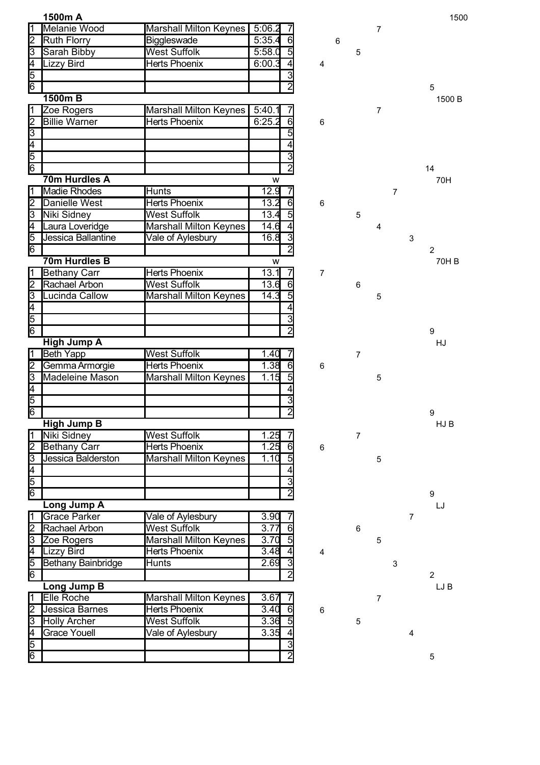|                      | 1500m A                   |                               |                          |       |                |                |                | 1500           |
|----------------------|---------------------------|-------------------------------|--------------------------|-------|----------------|----------------|----------------|----------------|
| $\overline{1}$       | Melanie Wood              | <b>Marshall Milton Keynes</b> | 5:06.2                   |       |                | 7              |                |                |
| 2                    | <b>Ruth Florry</b>        | Biggleswade                   | 5:35.4<br>6              | 6     |                |                |                |                |
| 3                    | Sarah Bibby               | <b>West Suffolk</b>           | 5:58.0<br>$\overline{5}$ |       | 5              |                |                |                |
| $\overline{4}$       | Lizzy Bird                | Herts Phoenix                 | 6:00.3<br>$\overline{4}$ | 4     |                |                |                |                |
| $\frac{5}{6}$        |                           |                               | 3                        |       |                |                |                |                |
|                      |                           |                               | $\overline{2}$           |       |                |                |                | 5              |
|                      | 1500m B                   |                               |                          |       |                |                |                | 1500 B         |
| $\overline{1}$       | Zoe Rogers                | <b>Marshall Milton Keynes</b> | 5:40.1<br>7              |       |                | $\overline{7}$ |                |                |
| $\frac{2}{3}$        | <b>Billie Warner</b>      | <b>Herts Phoenix</b>          | 6:25.2<br>$\overline{6}$ | 6     |                |                |                |                |
|                      |                           |                               | 5                        |       |                |                |                |                |
| $\frac{4}{5}$        |                           |                               | 4                        |       |                |                |                |                |
|                      |                           |                               | $\overline{3}$           |       |                |                |                |                |
| $\overline{6}$       |                           |                               | $\overline{2}$           |       |                |                |                | 14             |
|                      | 70m Hurdles A             |                               | W                        |       |                |                |                | 70H            |
| $\overline{1}$       | <b>Madie Rhodes</b>       | <b>Hunts</b>                  | 12.9<br>7                |       |                |                | 7              |                |
| 2                    | <b>Danielle West</b>      | <b>Herts Phoenix</b>          | 13.2<br>6                | 6     |                |                |                |                |
| $\overline{3}$       | Niki Sidney               | <b>West Suffolk</b>           | 13.4<br>$5\overline{)}$  |       | 5              |                |                |                |
| Ā                    | Laura Loveridge           | <b>Marshall Milton Keynes</b> | 14.6                     |       |                | 4              |                |                |
| 5                    | Jessica Ballantine        | Vale of Aylesbury             | 16.8<br>3                |       |                |                | $\mathsf 3$    |                |
| 6                    |                           |                               | $\overline{2}$           |       |                |                |                | 2              |
|                      | 70m Hurdles B             |                               | W                        |       |                |                |                | 70H B          |
| Π                    | <b>Bethany Carr</b>       | <b>Herts Phoenix</b>          | 13.1                     | 7     |                |                |                |                |
| 12                   | Rachael Arbon             | <b>West Suffolk</b>           | 13.6<br>6                |       | 6              |                |                |                |
| $\overline{3}$       | ucinda Callow             | Marshall Milton Keynes        | 5<br>14.3                |       |                | 5              |                |                |
| $\frac{4}{6}$        |                           |                               | 4                        |       |                |                |                |                |
|                      |                           |                               | 3                        |       |                |                |                |                |
|                      |                           |                               | $\overline{2}$           |       |                |                |                | 9              |
|                      | <b>High Jump A</b>        |                               |                          |       |                |                |                | HJ             |
| ī                    | <b>Beth Yapp</b>          | <b>West Suffolk</b>           | 1.40<br>7                |       | $\overline{7}$ |                |                |                |
| 2Ī                   | Gemma Armorgie            | <b>Herts Phoenix</b>          | 1.38<br>6                | 6     |                |                |                |                |
| उ                    | <b>Madeleine Mason</b>    | <b>Marshall Milton Keynes</b> | $\overline{5}$<br>1.15   |       |                | 5              |                |                |
| $\overline{4}$       |                           |                               | 4                        |       |                |                |                |                |
| $\frac{1}{\sqrt{2}}$ |                           |                               | 3                        |       |                |                |                |                |
|                      |                           |                               | $\overline{2}$           |       |                |                |                | 9              |
|                      | <b>High Jump B</b>        |                               |                          |       |                |                |                | HJ B           |
| $\overline{1}$       | Niki Sidney               | <b>West Suffolk</b>           | 1.25                     |       | $\overline{7}$ |                |                |                |
|                      | <b>Bethany Carr</b>       | <b>Herts Phoenix</b>          | 1.25<br>$6 \mid$         | 6     |                |                |                |                |
| $\frac{2}{6}$        | Jessica Balderston        | <b>Marshall Milton Keynes</b> | 1.10<br>5                |       |                | 5              |                |                |
|                      |                           |                               | $\overline{4}$           |       |                |                |                |                |
|                      |                           |                               | $\overline{3}$           |       |                |                |                |                |
|                      |                           |                               | $\overline{2}$           |       |                |                |                | 9              |
|                      | Long Jump A               |                               |                          |       |                |                |                | LJ             |
| $\overline{1}$       | Grace Parker              | Vale of Aylesbury             | 3.90                     |       |                |                | 7              |                |
| $\overline{2}$       | Rachael Arbon             | <b>West Suffolk</b>           | 3.77<br>6                |       | $\,6$          |                |                |                |
| उ                    | Zoe Rogers                | Marshall Milton Keynes        | 3.70<br>$\overline{5}$   |       |                | 5              |                |                |
| Ī4                   | Lizzy Bird                | Herts Phoenix                 | 3.48<br>$\overline{4}$   | 4     |                |                |                |                |
| $\frac{5}{6}$        | <b>Bethany Bainbridge</b> | <b>Hunts</b>                  | 2.69<br>3                |       |                |                | 3              |                |
|                      |                           |                               | $\overline{2}$           |       |                |                |                | $\overline{2}$ |
|                      | <b>Long Jump B</b>        |                               |                          |       |                |                |                | LJ B           |
| Ī1                   | Elle Roche                | <b>Marshall Milton Keynes</b> | 3.67                     |       |                | $\overline{7}$ |                |                |
| 2                    | Jessica Barnes            | <b>Herts Phoenix</b>          | 3.40<br>6                | $\,6$ |                |                |                |                |
| उ                    | <b>Holly Archer</b>       | <b>West Suffolk</b>           | 3.36<br>$\overline{5}$   |       | 5              |                |                |                |
| Ā                    | Grace Youell              | Vale of Aylesbury             | 3.35<br>4                |       |                |                | $\overline{4}$ |                |
| $\frac{5}{6}$        |                           |                               | $\overline{3}$           |       |                |                |                |                |
|                      |                           |                               | $\overline{2}$           |       |                |                |                | 5              |

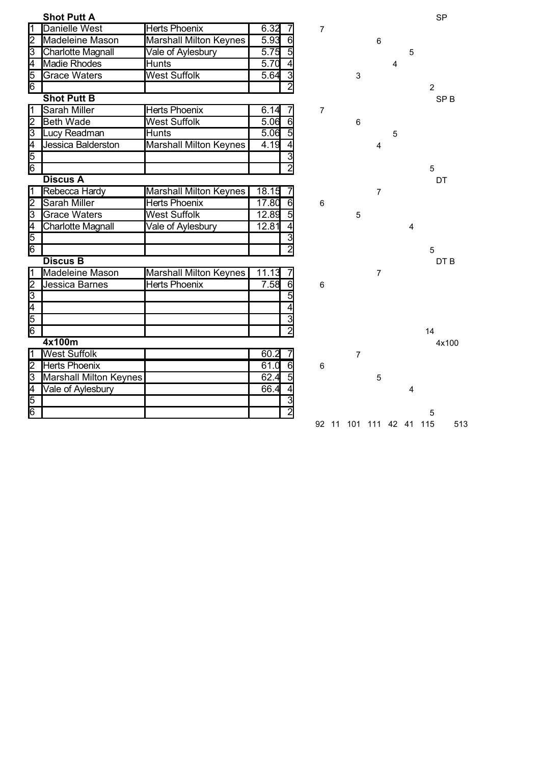|                         | <b>Shot Putt A</b>            |                               |                         |                |                |                |   |   | <b>SP</b>       |
|-------------------------|-------------------------------|-------------------------------|-------------------------|----------------|----------------|----------------|---|---|-----------------|
| $\overline{1}$          | <b>Danielle West</b>          | <b>Herts Phoenix</b>          | 6.32                    | 7              |                |                |   |   |                 |
| 2                       | Madeleine Mason               | Marshall Milton Keynes        | 5.93<br>6               |                |                | 6              |   |   |                 |
| ⊠                       | <b>Charlotte Magnall</b>      | Vale of Aylesbury             | $\overline{5}$<br>5.75  |                |                |                |   | 5 |                 |
| I4                      | Madie Rhodes                  | Hunts                         | 5.70<br>4               |                |                |                | 4 |   |                 |
| 5                       | <b>Grace Waters</b>           | <b>West Suffolk</b>           | $\overline{3}$<br>5.64  |                | $\mathfrak{S}$ |                |   |   |                 |
| $\overline{6}$          |                               |                               | $\overline{2}$          |                |                |                |   |   | $\overline{2}$  |
|                         | <b>Shot Putt B</b>            |                               |                         |                |                |                |   |   | SP <sub>B</sub> |
| $\overline{\mathbf{1}}$ | <b>Sarah Miller</b>           | <b>Herts Phoenix</b>          | 6.14<br>7               | $\overline{7}$ |                |                |   |   |                 |
| 2Ī                      | <b>Beth Wade</b>              | <b>West Suffolk</b>           | 5.06<br>$\overline{6}$  |                | 6              |                |   |   |                 |
| 3                       | Lucy Readman                  | <b>Hunts</b>                  | 5.06                    |                |                |                | 5 |   |                 |
| 4                       | Jessica Balderston            | <b>Marshall Milton Keynes</b> | 4.19                    |                |                | 4              |   |   |                 |
| 5                       |                               |                               | 3                       |                |                |                |   |   |                 |
| $\overline{6}$          |                               |                               | $\overline{2}$          |                |                |                |   |   | 5               |
|                         | <b>Discus A</b>               |                               |                         |                |                |                |   |   | DT              |
| π                       | Rebecca Hardy                 | <b>Marshall Milton Keynes</b> | 18.15                   |                |                | $\overline{7}$ |   |   |                 |
| 2                       | <b>Sarah Miller</b>           | <b>Herts Phoenix</b>          | 17.80<br>$\overline{6}$ | $6\phantom{1}$ |                |                |   |   |                 |
| 3                       | <b>Grace Waters</b>           | <b>West Suffolk</b>           | 5<br>12.89              |                | 5              |                |   |   |                 |
| $\overline{4}$          | Charlotte Magnall             | Vale of Aylesbury             | 12.81                   |                |                |                |   | 4 |                 |
| $\sqrt{5}$              |                               |                               | 3                       |                |                |                |   |   |                 |
|                         |                               |                               | $\overline{2}$          |                |                |                |   |   | 5               |
|                         | <b>Discus B</b>               |                               |                         |                |                |                |   |   | DT B            |
| Π                       | <b>Madeleine Mason</b>        | <b>Marshall Milton Keynes</b> | 11.13                   |                |                | $\overline{7}$ |   |   |                 |
| 2                       | <b>Jessica Barnes</b>         | <b>Herts Phoenix</b>          | 7.58<br>$\overline{6}$  | $6\phantom{1}$ |                |                |   |   |                 |
| $\overline{3}$          |                               |                               | $\overline{5}$          |                |                |                |   |   |                 |
| $\frac{4}{6}$           |                               |                               |                         |                |                |                |   |   |                 |
|                         |                               |                               | $\overline{3}$          |                |                |                |   |   |                 |
|                         |                               |                               | $\overline{2}$          |                |                |                |   |   | 14              |
|                         | 4x100m                        |                               |                         |                |                |                |   |   | 4x100           |
| 1                       | <b>West Suffolk</b>           |                               | 60.2                    |                | $\overline{7}$ |                |   |   |                 |
| 12                      | <b>Herts Phoenix</b>          |                               | 61.0<br>$\overline{6}$  | 6              |                |                |   |   |                 |
| उ                       | <b>Marshall Milton Keynes</b> |                               | $\overline{5}$<br>62.4  |                |                | 5              |   |   |                 |
|                         | Vale of Aylesbury             |                               | 66.4                    |                |                |                |   | 4 |                 |
| $\frac{4}{6}$           |                               |                               | 3                       |                |                |                |   |   |                 |
|                         |                               |                               | $\overline{2}$          |                |                |                |   |   | 5               |
|                         |                               |                               |                         |                |                |                |   |   |                 |

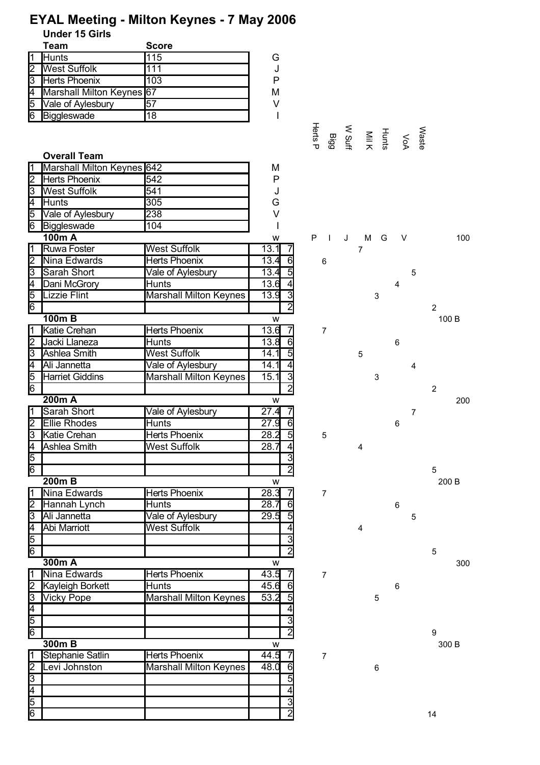| <b>Team</b>                           | <b>Score</b>                  |                                |                |   |                |             |                                    |                |                |
|---------------------------------------|-------------------------------|--------------------------------|----------------|---|----------------|-------------|------------------------------------|----------------|----------------|
| <b>Hunts</b>                          | 115                           | G                              |                |   |                |             |                                    |                |                |
| <b>West Suffolk</b><br>2              | 111                           | J                              |                |   |                |             |                                    |                |                |
| $\overline{3}$<br>Herts Phoenix       | 103                           | P                              |                |   |                |             |                                    |                |                |
| Marshall Milton Keynes 67             |                               | M                              |                |   |                |             |                                    |                |                |
| Vale of Aylesbury<br>5                | 57                            | V                              |                |   |                |             |                                    |                |                |
| Biggleswade<br>6                      | $\overline{18}$               |                                |                |   |                |             |                                    |                |                |
|                                       |                               |                                |                |   |                |             |                                    |                |                |
|                                       |                               |                                | Herts P        |   |                |             | VoA<br>Turis W<br>N Suff<br>N Sigg | Waste          |                |
| <b>Overall Team</b>                   |                               |                                |                |   |                |             |                                    |                |                |
| Marshall Milton Keynes 642            |                               | M                              |                |   |                |             |                                    |                |                |
| <b>Herts Phoenix</b><br>$\mathsf{2}$  | 542                           | $\mathsf{P}$                   |                |   |                |             |                                    |                |                |
| <b>West Suffolk</b><br>3              | 541                           | J                              |                |   |                |             |                                    |                |                |
| Hunts<br>4                            | 305                           | G                              |                |   |                |             |                                    |                |                |
| Vale of Aylesbury<br>5                | 238                           | $\vee$                         |                |   |                |             |                                    |                |                |
| Biggleswade<br>6                      | 104                           |                                |                |   |                |             |                                    |                |                |
| 100m A                                |                               | W                              | P<br>$\Box$    | J |                | M G         | $\vee$                             |                | 100            |
| <b>Ruwa Foster</b>                    | <b>West Suffolk</b>           | $13.1 \overline{\phantom{0}}7$ |                |   | $\overline{7}$ |             |                                    |                |                |
| $\overline{2}$<br>Nina Edwards        | <b>Herts Phoenix</b>          | 13.4<br>6                      | 6              |   |                |             |                                    |                |                |
| $\overline{3}$<br>Sarah Short         | Vale of Aylesbury             | 13.45                          |                |   |                |             |                                    | 5              |                |
| Dani McGrory<br>4                     | Hunts                         | 13.6<br>$\overline{4}$         |                |   |                |             | 4                                  |                |                |
| 5<br>Lizzie Flint                     | <b>Marshall Milton Keynes</b> | 13.9<br>3                      |                |   |                | $\mathsf 3$ |                                    |                |                |
| 6                                     |                               | $\overline{2}$                 |                |   |                |             |                                    |                | $\overline{2}$ |
| $100m$ B                              |                               | W                              |                |   |                |             |                                    |                | 100 B          |
| Katie Crehan                          | Herts Phoenix                 | $13.6$ 7                       | $\overline{7}$ |   |                |             |                                    |                |                |
| $\overline{2}$<br>Jacki Llaneza       | Hunts                         | 13.8<br>6                      |                |   |                |             | 6                                  |                |                |
| 3<br>Ashlea Smith                     | <b>West Suffolk</b>           | 14.1<br>- 5                    |                |   | 5              |             |                                    |                |                |
| Ali Jannetta<br>4                     | Vale of Aylesbury             | 14.1<br>$\vert 4 \vert$        |                |   |                |             |                                    | 4              |                |
| 5<br>Harriet Giddins                  | Marshall Milton Keynes        | 15.1<br>$\overline{3}$         |                |   |                | $\mathsf 3$ |                                    |                |                |
| 6                                     |                               | $\overline{2}$                 |                |   |                |             |                                    |                | $\overline{2}$ |
| 200m A                                |                               | W                              |                |   |                |             |                                    |                | 200            |
| Sarah Short                           | Vale of Aylesbury             | 27.47                          |                |   |                |             |                                    | $\overline{7}$ |                |
| <b>Ellie Rhodes</b><br>12             | <b>Hunts</b>                  | 27.9<br>6                      |                |   |                |             | 6                                  |                |                |
| $\overline{3}$<br><b>Katie Crehan</b> | Herts Phoenix                 | 5<br>28.2                      | 5              |   |                |             |                                    |                |                |
| Ashlea Smith<br>4                     | West Suffolk                  | 28.7                           |                |   | 4              |             |                                    |                |                |
| 5                                     |                               |                                |                |   |                |             |                                    |                |                |
| $\overline{6}$                        |                               |                                |                |   |                |             |                                    |                | 5              |
| <b>200mB</b>                          |                               | W                              |                |   |                |             |                                    |                | 200 B          |
| Nina Edwards                          | Herts Phoenix                 | 28.3                           | $\overline{7}$ |   |                |             |                                    |                |                |
| Hannah Lynch                          | Hunts                         | 28.7<br>6                      |                |   |                |             | 6                                  |                |                |
| Ali Jannetta<br>3                     | Vale of Aylesbury             | 29.5<br>$\overline{5}$         |                |   |                |             |                                    | 5              |                |
| <b>Abi Marriott</b><br>4              | <b>West Suffolk</b>           | 4                              |                |   | 4              |             |                                    |                |                |
| 5                                     |                               | 3                              |                |   |                |             |                                    |                |                |
| 6                                     |                               | $\overline{2}$                 |                |   |                |             |                                    |                | 5              |
| 300m A                                |                               | W                              |                |   |                |             |                                    |                | 300            |
| Nina Edwards                          | Herts Phoenix                 | $43.\overline{5}$              | $\overline{7}$ |   |                |             |                                    |                |                |
| Kayleigh Borkett                      | Hunts                         | 45.6<br>61                     |                |   |                |             | 6                                  |                |                |
| <b>Vicky Pope</b><br>3                | <b>Marshall Milton Keynes</b> | 53.2<br>$5\overline{)}$        |                |   |                | 5           |                                    |                |                |
| 4                                     |                               |                                |                |   |                |             |                                    |                |                |
| 5                                     |                               | 3                              |                |   |                |             |                                    |                |                |
| ଟି                                    |                               | 2                              |                |   |                |             |                                    |                | 9              |
| 300m B                                |                               | w                              |                |   |                |             |                                    |                | 300 B          |
| <b>Stephanie Satlin</b>               | <b>Herts Phoenix</b>          | 44.5                           | $\overline{7}$ |   |                |             |                                    |                |                |
| Levi Johnston                         | <b>Marshall Milton Keynes</b> | 48.0<br>6                      |                |   |                | 6           |                                    |                |                |
|                                       |                               |                                |                |   |                |             |                                    |                |                |
|                                       |                               | 5                              |                |   |                |             |                                    |                |                |
|                                       |                               | 4                              |                |   |                |             |                                    |                |                |
| Ξ<br>4<br>5<br>$\overline{6}$         |                               | دن                             |                |   |                |             |                                    |                |                |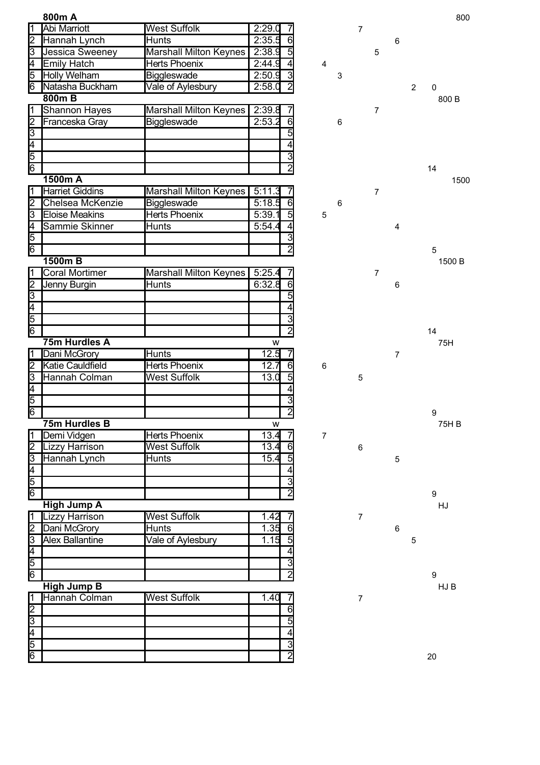|                                                         | 800m A                 |                               |        |                                  |                         |   |                          |                |             |                | 800              |
|---------------------------------------------------------|------------------------|-------------------------------|--------|----------------------------------|-------------------------|---|--------------------------|----------------|-------------|----------------|------------------|
| $\overline{\mathbb{1}}$                                 | Abi Marriott           | <b>West Suffolk</b>           | 2:29.0 |                                  |                         |   | $\overline{7}$           |                |             |                |                  |
| $\frac{2}{3}$                                           | Hannah Lynch           | <b>Hunts</b>                  | 2:35.5 | 6                                |                         |   |                          |                | 6           |                |                  |
|                                                         | Jessica Sweeney        | <b>Marshall Milton Keynes</b> | 2:38.9 | $\overline{5}$                   |                         |   |                          | 5              |             |                |                  |
| <sup>4</sup>                                            | Emily Hatch            | Herts Phoenix                 | 2:44.9 | $\overline{4}$                   | $\overline{\mathbf{4}}$ |   |                          |                |             |                |                  |
| 5                                                       | <b>Holly Welham</b>    | <b>Biggleswade</b>            | 2:50.9 | 3                                |                         | 3 |                          |                |             |                |                  |
| 6                                                       | Natasha Buckham        | Vale of Aylesbury             | 2:58.0 | $\overline{2}$                   |                         |   |                          |                |             | $\overline{2}$ | 0                |
|                                                         | 800mB                  |                               |        |                                  |                         |   |                          |                |             |                | 800 B            |
| $\overline{1}$                                          | <b>Shannon Hayes</b>   | <b>Marshall Milton Keynes</b> | 2:39.8 |                                  |                         |   |                          | $\overline{7}$ |             |                |                  |
|                                                         | Franceska Gray         | Biggleswade                   | 2:53.2 | $\overline{6}$                   |                         | 6 |                          |                |             |                |                  |
|                                                         |                        |                               |        | 5                                |                         |   |                          |                |             |                |                  |
|                                                         |                        |                               |        | 4                                |                         |   |                          |                |             |                |                  |
| $\frac{2}{3}$ $\frac{4}{5}$ $\frac{5}{6}$               |                        |                               |        | 3                                |                         |   |                          |                |             |                |                  |
|                                                         |                        |                               |        | $\overline{2}$                   |                         |   |                          |                |             |                | 14               |
|                                                         | 1500m A                |                               |        |                                  |                         |   |                          |                |             |                | 1500             |
| $\overline{1}$                                          | <b>Harriet Giddins</b> | <b>Marshall Milton Keynes</b> | 5:11.3 |                                  |                         |   |                          | $\overline{7}$ |             |                |                  |
|                                                         | Chelsea McKenzie       | Biggleswade                   | 5:18.5 | $\overline{6}$                   |                         | 6 |                          |                |             |                |                  |
|                                                         | <b>Eloise Meakins</b>  | <b>Herts Phoenix</b>          | 5:39.1 | 5                                | 5                       |   |                          |                |             |                |                  |
|                                                         | Sammie Skinner         | Hunts                         | 5:54.4 | 4                                |                         |   |                          |                | 4           |                |                  |
| $\frac{1}{2}$                                           |                        |                               |        | 3                                |                         |   |                          |                |             |                |                  |
|                                                         |                        |                               |        | $\overline{2}$                   |                         |   |                          |                |             |                | 5                |
|                                                         | 1500m B                |                               |        |                                  |                         |   |                          |                |             |                | 1500 B           |
| ī                                                       | <b>Coral Mortimer</b>  | <b>Marshall Milton Keynes</b> | 5:25.4 |                                  |                         |   |                          | $\overline{7}$ |             |                |                  |
|                                                         | Jenny Burgin           | <b>Hunts</b>                  | 6:32.8 | $\overline{6}$                   |                         |   |                          |                | 6           |                |                  |
| $\frac{1}{2}$                                           |                        |                               |        | 5                                |                         |   |                          |                |             |                |                  |
|                                                         |                        |                               |        | 4                                |                         |   |                          |                |             |                |                  |
|                                                         |                        |                               |        | $\overline{3}$                   |                         |   |                          |                |             |                |                  |
|                                                         |                        |                               |        | $\overline{2}$                   |                         |   |                          |                |             |                | 14               |
|                                                         | 75m Hurdles A          |                               | W      |                                  |                         |   |                          |                |             |                | 75H              |
| Ī                                                       | Dani McGrory           | <b>Hunts</b>                  | 12.5   | 7                                |                         |   |                          |                | 7           |                |                  |
| $\frac{2}{6}$                                           | Katie Cauldfield       | <b>Herts Phoenix</b>          | 12.7   | 6                                | $\,6$                   |   |                          |                |             |                |                  |
|                                                         | Hannah Colman          | <b>West Suffolk</b>           | 13.0   | $\overline{5}$                   |                         |   | 5                        |                |             |                |                  |
|                                                         |                        |                               |        | 4                                |                         |   |                          |                |             |                |                  |
|                                                         |                        |                               |        | 3                                |                         |   |                          |                |             |                |                  |
|                                                         |                        |                               |        | $\overline{2}$                   |                         |   |                          |                |             |                | $\boldsymbol{9}$ |
|                                                         | 75m Hurdles B          |                               | W      |                                  |                         |   |                          |                |             |                | 75H B            |
| ī                                                       | Demi Vidgen            | <b>Herts Phoenix</b>          | 13.4   |                                  | 7                       |   |                          |                |             |                |                  |
|                                                         | Lizzy Harrison         | <b>West Suffolk</b>           | 13.4   | 6                                |                         |   | $\,6$                    |                |             |                |                  |
|                                                         | Hannah Lynch           | Hunts                         | 15.4   | 5                                |                         |   |                          |                | $\mathbf 5$ |                |                  |
|                                                         |                        |                               |        | 4                                |                         |   |                          |                |             |                |                  |
| $\frac{1}{2}$                                           |                        |                               |        | 3                                |                         |   |                          |                |             |                |                  |
|                                                         |                        |                               |        | $\overline{2}$                   |                         |   |                          |                |             |                | $\boldsymbol{9}$ |
|                                                         | <b>High Jump A</b>     |                               |        |                                  |                         |   |                          |                |             |                | HJ               |
| $\overline{1}$                                          | <b>Lizzy Harrison</b>  | <b>West Suffolk</b>           | 1.42   |                                  |                         |   | $\overline{\mathcal{I}}$ |                |             |                |                  |
| $\frac{2}{6}$                                           | Dani McGrory           | Hunts                         | 1.35   | 6                                |                         |   |                          |                | 6           |                |                  |
|                                                         | <b>Alex Ballantine</b> | Vale of Aylesbury             | 1.15   | $\overline{5}$                   |                         |   |                          |                |             | 5              |                  |
|                                                         |                        |                               |        | 4                                |                         |   |                          |                |             |                |                  |
|                                                         |                        |                               |        | 3                                |                         |   |                          |                |             |                |                  |
|                                                         |                        |                               |        | $\overline{2}$                   |                         |   |                          |                |             |                | 9                |
|                                                         | <b>High Jump B</b>     |                               |        |                                  |                         |   |                          |                |             |                | HJ B             |
|                                                         |                        | <b>West Suffolk</b>           | 1.40   |                                  |                         |   | $\overline{7}$           |                |             |                |                  |
|                                                         | Hannah Colman          |                               |        |                                  |                         |   |                          |                |             |                |                  |
|                                                         |                        |                               |        | $\overline{6}$                   |                         |   |                          |                |             |                |                  |
|                                                         |                        |                               |        | 5                                |                         |   |                          |                |             |                |                  |
|                                                         |                        |                               |        | 4                                |                         |   |                          |                |             |                |                  |
| $\frac{1}{2}$ $\frac{2}{3}$ $\frac{4}{5}$ $\frac{5}{6}$ |                        |                               |        | $\overline{3}$<br>$\overline{2}$ |                         |   |                          |                |             |                | 20               |

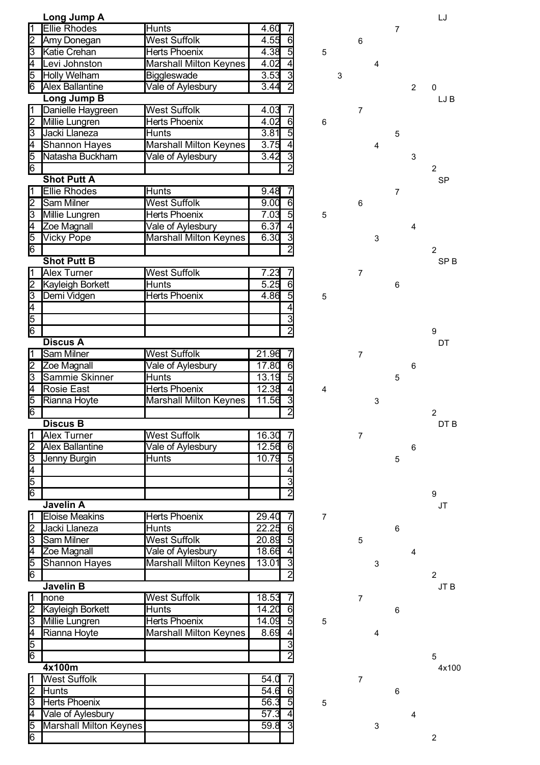|                          | Long Jump A             |                               |                         |                         |   |                 |   |       |   | LJ              |
|--------------------------|-------------------------|-------------------------------|-------------------------|-------------------------|---|-----------------|---|-------|---|-----------------|
|                          | <b>Ellie Rhodes</b>     | <b>Hunts</b>                  | 4.60                    |                         |   |                 |   | 7     |   |                 |
| $\overline{2}$           | Amy Donegan             | <b>West Suffolk</b>           | 4.55<br>6               |                         |   | $6\phantom{1}6$ |   |       |   |                 |
| $\overline{3}$           | Katie Crehan            | <b>Herts Phoenix</b>          | $\overline{5}$<br>4.38  | $\sqrt{5}$              |   |                 |   |       |   |                 |
| 4                        | Levi Johnston           | <b>Marshall Milton Keynes</b> | 4.02<br>4               |                         |   |                 | 4 |       |   |                 |
| 5                        | Holly Welham            | Biggleswade                   | 3.53<br>3               |                         | 3 |                 |   |       |   |                 |
| 6                        | <b>Alex Ballantine</b>  | Vale of Aylesbury             | $\overline{2}$<br>3.44  |                         |   |                 |   |       | 2 | 0               |
|                          | <b>Long Jump B</b>      |                               |                         |                         |   |                 |   |       |   | LJ B            |
| ⊺⊺                       | Danielle Haygreen       | <b>West Suffolk</b>           | 4.03                    |                         |   | $\overline{7}$  |   |       |   |                 |
| 12                       | Millie Lungren          | <b>Herts Phoenix</b>          | $\overline{6}$<br>4.02  | $\,6$                   |   |                 |   |       |   |                 |
| $\overline{3}$           | Jacki Llaneza           | <b>Hunts</b>                  | 5<br>3.81               |                         |   |                 |   | 5     |   |                 |
| $\overline{4}$           | Shannon Hayes           | Marshall Milton Keynes        | 3.75<br>$\overline{4}$  |                         |   |                 | 4 |       |   |                 |
| 5                        | Natasha Buckham         | Vale of Aylesbury             | 3.42<br>$\overline{3}$  |                         |   |                 |   |       | 3 |                 |
| 6                        |                         |                               | $\overline{2}$          |                         |   |                 |   |       |   | 2               |
|                          | <b>Shot Putt A</b>      |                               |                         |                         |   |                 |   |       |   | <b>SP</b>       |
| 11                       | <b>Ellie Rhodes</b>     | <b>Hunts</b>                  | 9.48                    |                         |   |                 |   | 7     |   |                 |
| 2                        | <b>Sam Milner</b>       | <b>West Suffolk</b>           | 9.00<br>6               |                         |   | 6               |   |       |   |                 |
| उ                        | Millie Lungren          | <b>Herts Phoenix</b>          | $\overline{5}$<br>7.03  | $\sqrt{5}$              |   |                 |   |       |   |                 |
| 4                        | Zoe Magnall             | Vale of Aylesbury             | 6.37<br>4               |                         |   |                 |   |       |   |                 |
| 5                        |                         | <b>Marshall Milton Keynes</b> | $\overline{3}$<br>6.30  |                         |   |                 |   |       | 4 |                 |
| 6                        | <b>Vicky Pope</b>       |                               | $\overline{2}$          |                         |   |                 | 3 |       |   |                 |
|                          |                         |                               |                         |                         |   |                 |   |       |   | $\overline{2}$  |
|                          | <b>Shot Putt B</b>      |                               |                         |                         |   |                 |   |       |   | SP <sub>B</sub> |
| Ī1                       | <b>Alex Turner</b>      | <b>West Suffolk</b>           | 7.23                    |                         |   | $\overline{7}$  |   |       |   |                 |
| $\frac{2}{3}$            | <b>Kayleigh Borkett</b> | <b>Hunts</b>                  | 5.25<br>6               |                         |   |                 |   | 6     |   |                 |
|                          | Demi Vidgen             | <b>Herts Phoenix</b>          | $\overline{5}$<br>4.86  | $\sqrt{5}$              |   |                 |   |       |   |                 |
|                          |                         |                               | 4                       |                         |   |                 |   |       |   |                 |
| $\frac{4}{6}$            |                         |                               | 3                       |                         |   |                 |   |       |   |                 |
|                          |                         |                               | $\overline{2}$          |                         |   |                 |   |       |   | 9               |
|                          | <b>Discus A</b>         |                               |                         |                         |   |                 |   |       |   | DT              |
| 1                        | Sam Milner              | <b>West Suffolk</b>           | 21.96                   |                         |   | $\overline{7}$  |   |       |   |                 |
| 2Ī                       | Zoe Magnall             | <b>Vale of Aylesbury</b>      | 17.80<br>6              |                         |   |                 |   |       | 6 |                 |
| 3                        | Sammie Skinner          | <b>Hunts</b>                  | $\overline{5}$<br>13.19 |                         |   |                 |   | 5     |   |                 |
| $\overline{\mathcal{A}}$ | <b>Rosie East</b>       | <b>Herts Phoenix</b>          | 12.38<br>4              | $\overline{\mathbf{4}}$ |   |                 |   |       |   |                 |
| $\overline{5}$           | Rianna Hoyte            | <b>Marshall Milton Keynes</b> | 11.56                   |                         |   |                 | 3 |       |   |                 |
| 6                        |                         |                               | $\overline{2}$          |                         |   |                 |   |       |   | 2               |
|                          | <b>Discus B</b>         |                               |                         |                         |   |                 |   |       |   | DT B            |
| 11                       | <b>Alex Turner</b>      | <b>West Suffolk</b>           | 16.30                   |                         |   | $\overline{7}$  |   |       |   |                 |
| 12                       | <b>Alex Ballantine</b>  | Vale of Aylesbury             | 12.56<br>6              |                         |   |                 |   |       | 6 |                 |
| 3                        | Jenny Burgin            | Hunts                         | 10.79<br>$\overline{5}$ |                         |   |                 |   | 5     |   |                 |
| $\overline{4}$           |                         |                               | 4                       |                         |   |                 |   |       |   |                 |
| 5                        |                         |                               | 3                       |                         |   |                 |   |       |   |                 |
| $\overline{6}$           |                         |                               |                         |                         |   |                 |   |       |   | 9               |
|                          | Javelin A               |                               |                         |                         |   |                 |   |       |   | JT              |
| 1                        | <b>Eloise Meakins</b>   | <b>Herts Phoenix</b>          | 29.40                   | 7                       |   |                 |   |       |   |                 |
| 12                       | Jacki Llaneza           | <b>Hunts</b>                  | 22.25<br>6              |                         |   |                 |   | 6     |   |                 |
| $\overline{3}$           | <b>Sam Milner</b>       | <b>West Suffolk</b>           | 5<br>20.89              |                         |   | 5               |   |       |   |                 |
| $\overline{4}$           | Zoe Magnall             | Vale of Aylesbury             | 18.66<br>$\overline{4}$ |                         |   |                 |   |       | 4 |                 |
| $\overline{5}$           | <b>Shannon Hayes</b>    | <b>Marshall Milton Keynes</b> | $\overline{3}$<br>13.01 |                         |   |                 | 3 |       |   |                 |
| 6                        |                         |                               | $\overline{2}$          |                         |   |                 |   |       |   | $\overline{2}$  |
|                          | <b>Javelin B</b>        |                               |                         |                         |   |                 |   |       |   | JT B            |
| 1                        | none                    | <b>West Suffolk</b>           |                         |                         |   |                 |   |       |   |                 |
| 2Ī                       |                         | Hunts                         | 18.53<br>14.20<br>6     |                         |   | 7               |   |       |   |                 |
|                          | <b>Kayleigh Borkett</b> |                               |                         |                         |   |                 |   | $\,6$ |   |                 |
| 3                        | Millie Lungren          | <b>Herts Phoenix</b>          | $\overline{5}$<br>14.09 | $\sqrt{5}$              |   |                 |   |       |   |                 |
| $\overline{4}$           | Rianna Hoyte            | <b>Marshall Milton Keynes</b> | 8.69<br>4               |                         |   |                 | 4 |       |   |                 |
| $\overline{5}$           |                         |                               | $\overline{3}$          |                         |   |                 |   |       |   |                 |
| 6                        |                         |                               | $\overline{2}$          |                         |   |                 |   |       |   | 5               |
|                          | 4x100m                  |                               |                         |                         |   |                 |   |       |   | 4x100           |
| l1                       | <b>West Suffolk</b>     |                               | 54.0                    |                         |   | $\overline{7}$  |   |       |   |                 |
| 12                       | Hunts                   |                               | $\overline{54.6}$<br>6  |                         |   |                 |   | $\,6$ |   |                 |
| 3                        | <b>Herts Phoenix</b>    |                               | 56.3<br>$\overline{5}$  | $\sqrt{5}$              |   |                 |   |       |   |                 |
| 4                        | Vale of Aylesbury       |                               | 57.3<br>4               |                         |   |                 |   |       | 4 |                 |
| 5                        | Marshall Milton Keynes  |                               | 3<br>59.8               |                         |   |                 | 3 |       |   |                 |
| 6                        |                         |                               |                         |                         |   |                 |   |       |   | $\overline{2}$  |

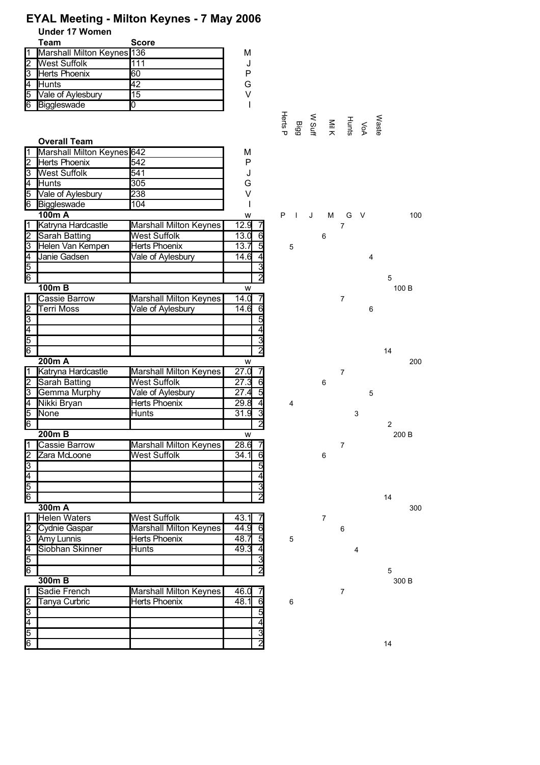## **EYAL Meeting - Milton Keynes - 7 May 2006**

**Under 17 Women**

|    | Team                       | <b>Score</b> |   |
|----|----------------------------|--------------|---|
|    | Marshall Milton Keynes 136 |              | м |
|    | <b>West Suffolk</b>        |              |   |
| 13 | <b>Herts Phoenix</b>       | 60           | P |
|    | Hunts                      | 42           | G |
| 15 | Vale of Aylesbury          | 15           | V |
| l6 | Biggleswade                |              |   |

|                                                         | <b>Overall Team</b>        |                               |                        |                |                |   |                |                  |        |   |                |     |
|---------------------------------------------------------|----------------------------|-------------------------------|------------------------|----------------|----------------|---|----------------|------------------|--------|---|----------------|-----|
| 1                                                       | Marshall Milton Keynes 642 |                               | M                      |                |                |   |                |                  |        |   |                |     |
| $\frac{2}{3}$ $\frac{4}{5}$ $\frac{5}{6}$               | <b>Herts Phoenix</b>       | 542                           | P                      |                |                |   |                |                  |        |   |                |     |
|                                                         | <b>West Suffolk</b>        | 541                           | J                      |                |                |   |                |                  |        |   |                |     |
|                                                         | Hunts                      | 305                           | G                      |                |                |   |                |                  |        |   |                |     |
|                                                         | Vale of Aylesbury          | 238                           | $\vee$                 |                |                |   |                |                  |        |   |                |     |
|                                                         | Biggleswade                | 104                           | I                      |                |                |   |                |                  |        |   |                |     |
|                                                         | 100m A                     |                               | w                      | P              | $\blacksquare$ | J | M              | G                | $\vee$ |   |                | 100 |
| 1                                                       | Katryna Hardcastle         | Marshall Milton Keynes        | 12.9                   |                |                |   |                | $\overline{7}$   |        |   |                |     |
| $\overline{2}$                                          | Sarah Batting              | <b>West Suffolk</b>           | 13.0                   | 6              |                |   | 6              |                  |        |   |                |     |
|                                                         | Helen Van Kempen           | <b>Herts Phoenix</b>          | 13.7                   | $\overline{5}$ | 5              |   |                |                  |        |   |                |     |
|                                                         | Janie Gadsen               | Vale of Aylesbury             | 14.6<br>$\overline{4}$ |                |                |   |                |                  |        | 4 |                |     |
| $\frac{3}{4}$ $\frac{4}{5}$ $\frac{1}{6}$               |                            |                               |                        | 3              |                |   |                |                  |        |   |                |     |
|                                                         |                            |                               | $\overline{2}$         |                |                |   |                |                  |        |   | 5              |     |
|                                                         | $100m$ B                   |                               | w                      |                |                |   |                |                  |        |   | 100 B          |     |
|                                                         | <b>Cassie Barrow</b>       | <b>Marshall Milton Keynes</b> | 14.0                   |                |                |   |                | $\overline{7}$   |        |   |                |     |
|                                                         | Terri Moss                 | Vale of Aylesbury             | 14.6<br>6              |                |                |   |                |                  |        | 6 |                |     |
|                                                         |                            |                               |                        | 5              |                |   |                |                  |        |   |                |     |
| $\frac{1}{2}$ $\frac{2}{3}$ $\frac{4}{5}$ $\frac{5}{6}$ |                            |                               | 4                      |                |                |   |                |                  |        |   |                |     |
|                                                         |                            |                               | $\overline{3}$         |                |                |   |                |                  |        |   |                |     |
|                                                         |                            |                               | $\overline{2}$         |                |                |   |                |                  |        |   | 14             |     |
|                                                         | 200m A                     |                               | w                      |                |                |   |                |                  |        |   |                | 200 |
| $\overline{1}$                                          | Katryna Hardcastle         | Marshall Milton Keynes        | 27.0                   | 7              |                |   |                | $\overline{7}$   |        |   |                |     |
| $\overline{2}$                                          | Sarah Batting              | West Suffolk                  | 27.3                   | 6              |                |   | 6              |                  |        |   |                |     |
| उि                                                      | <b>Gemma Murphy</b>        | Vale of Aylesbury             | $\overline{27.4}$      | 5              |                |   |                |                  |        | 5 |                |     |
|                                                         | Nikki Bryan                | <b>Herts Phoenix</b>          | 29.8<br>$\overline{4}$ |                | 4              |   |                |                  |        |   |                |     |
| $\frac{4}{5}$ $\frac{5}{6}$                             | None                       | Hunts                         | 3<br>31.9              |                |                |   |                |                  | 3      |   |                |     |
|                                                         |                            |                               | $\overline{2}$         |                |                |   |                |                  |        |   | $\overline{2}$ |     |
|                                                         | $200m$ B                   |                               | w                      |                |                |   |                |                  |        |   | 200 B          |     |
|                                                         | <b>Cassie Barrow</b>       | <b>Marshall Milton Keynes</b> | 28.6                   |                |                |   |                | $\overline{7}$   |        |   |                |     |
| $\frac{1}{2}$ $\frac{1}{3}$ $\frac{4}{5}$ $\frac{6}{6}$ | Zara McLoone               | <b>West Suffolk</b>           | 34.1<br>6              |                |                |   | 6              |                  |        |   |                |     |
|                                                         |                            |                               | 5                      |                |                |   |                |                  |        |   |                |     |
|                                                         |                            |                               | 4                      |                |                |   |                |                  |        |   |                |     |
|                                                         |                            |                               | 3                      |                |                |   |                |                  |        |   |                |     |
|                                                         |                            |                               | $\overline{2}$         |                |                |   |                |                  |        |   |                |     |
|                                                         |                            |                               |                        |                |                |   |                |                  |        |   | 14             |     |
|                                                         | 300m A                     |                               |                        |                |                |   |                |                  |        |   |                | 300 |
| ī                                                       | <b>Helen Waters</b>        | <b>West Suffolk</b>           | 43.1                   |                |                |   | $\overline{7}$ |                  |        |   |                |     |
| $\overline{2}$                                          | Cydnie Gaspar              | Marshall Milton Keynes        | 6<br>44.9              |                |                |   |                | 6                |        |   |                |     |
| $\overline{3}$                                          | Amy Lunnis                 | <b>Herts Phoenix</b>          | 同<br>48.7              |                | 5              |   |                |                  |        |   |                |     |
| $\frac{4}{5}$ $\frac{5}{6}$                             | Siobhan Skinner            | Hunts                         | 49.3                   |                |                |   |                |                  | 4      |   |                |     |
|                                                         |                            |                               |                        |                |                |   |                |                  |        |   |                |     |
|                                                         |                            |                               |                        |                |                |   |                |                  |        |   | 5              |     |
|                                                         | $300m$ B                   |                               |                        |                |                |   |                |                  |        |   | 300 B          |     |
|                                                         | Sadie French               | <b>Marshall Milton Keynes</b> | 46.0                   |                |                |   |                | $\boldsymbol{7}$ |        |   |                |     |
|                                                         | Tanya Curbric              | <b>Herts Phoenix</b>          | 48.1<br>$\overline{6}$ |                | 6              |   |                |                  |        |   |                |     |
| $\frac{1}{2}$ $\frac{2}{3}$ $\frac{4}{5}$ $\frac{5}{6}$ |                            |                               |                        | 5              |                |   |                |                  |        |   |                |     |
|                                                         |                            |                               | 4                      |                |                |   |                |                  |        |   |                |     |
|                                                         |                            |                               |                        | 3              |                |   |                |                  |        |   |                |     |
|                                                         |                            |                               | $\overline{2}$         |                |                |   |                |                  |        |   | 14             |     |

|                               |    |   |        | Waste<br>Numi Mill<br>Numi Mill<br>Numi<br>Herts P<br>Herts P |                               |          |
|-------------------------------|----|---|--------|---------------------------------------------------------------|-------------------------------|----------|
| $\ddot{\phantom{0}}$<br>100 B | 5  | 4 |        | M G V<br>7<br>6                                               | $\overline{\phantom{a}}$<br>5 | $P \mid$ |
| 2                             | 14 | 6 | 7<br>7 | 6                                                             |                               |          |



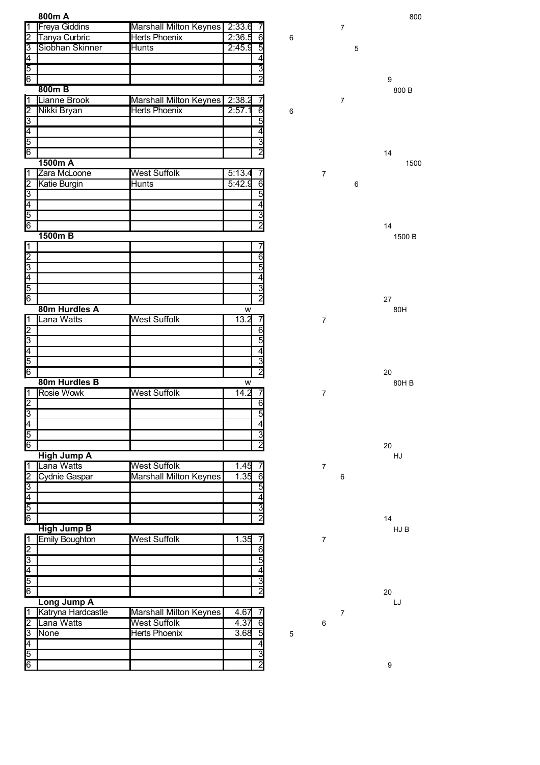|                                           | 800m A                |                               |                           |             |                         |                | 800              |
|-------------------------------------------|-----------------------|-------------------------------|---------------------------|-------------|-------------------------|----------------|------------------|
| $\overline{1}$                            | <b>Freya Giddins</b>  | <b>Marshall Milton Keynes</b> | 2:33.6                    |             |                         | $\overline{7}$ |                  |
| $\overline{2}$                            | Tanya Curbric         | <b>Herts Phoenix</b>          | 2:36.5<br>$6\overline{6}$ | 6           |                         |                |                  |
| $\overline{3}$                            | Siobhan Skinner       | <b>Hunts</b>                  | 2:45.9<br>5               |             |                         | 5              |                  |
|                                           |                       |                               | 4                         |             |                         |                |                  |
| $\frac{4}{6}$                             |                       |                               | $\overline{\mathbf{3}}$   |             |                         |                |                  |
|                                           |                       |                               | $\overline{2}$            |             |                         |                | 9                |
|                                           | $800m$ B              |                               |                           |             |                         |                | 800 B            |
| $\overline{\mathsf{1}}$                   | Lianne Brook          | <b>Marshall Milton Keynes</b> | 2:38.2<br>7               |             |                         | $\overline{7}$ |                  |
|                                           | Nikki Bryan           | <b>Herts Phoenix</b>          | 6<br>2:57.1               | 6           |                         |                |                  |
|                                           |                       |                               | 5                         |             |                         |                |                  |
|                                           |                       |                               | 4                         |             |                         |                |                  |
| $\frac{2}{3}$ $\frac{4}{5}$ $\frac{5}{6}$ |                       |                               | $\overline{3}$            |             |                         |                |                  |
|                                           |                       |                               | $\overline{2}$            |             |                         |                | 14               |
|                                           | 1500m A               |                               |                           |             |                         |                | 1500             |
| $\overline{1}$                            | Zara McLoone          | <b>West Suffolk</b>           | 5:13.4<br>7               |             | $\overline{7}$          |                |                  |
| $\frac{2}{3}$                             | Katie Burgin          | <b>Hunts</b>                  | $\overline{6}$<br>5:42.9  |             |                         | 6              |                  |
|                                           |                       |                               | 5                         |             |                         |                |                  |
|                                           |                       |                               | $\overline{4}$            |             |                         |                |                  |
| $\frac{4}{5}$                             |                       |                               | <u>isl</u>                |             |                         |                |                  |
|                                           |                       |                               |                           |             |                         |                | 14               |
|                                           | 1500m B               |                               |                           |             |                         |                | 1500 B           |
| $\overline{1}$                            |                       |                               |                           |             |                         |                |                  |
| $\frac{2}{3}$ $\frac{4}{5}$               |                       |                               | $\overline{6}$            |             |                         |                |                  |
|                                           |                       |                               | $\overline{5}$            |             |                         |                |                  |
|                                           |                       |                               | 4                         |             |                         |                |                  |
|                                           |                       |                               | 3                         |             |                         |                |                  |
| 6                                         |                       |                               | $\overline{2}$            |             |                         |                | 27               |
|                                           | 80m Hurdles A         |                               | W                         |             |                         |                | 80H              |
| $\overline{1}$                            | Lana Watts            | <b>West Suffolk</b>           | 13.2<br>7                 |             | $\overline{7}$          |                |                  |
| Z                                         |                       |                               | $\overline{6}$            |             |                         |                |                  |
| $\overline{3}$                            |                       |                               | 5                         |             |                         |                |                  |
|                                           |                       |                               | 4                         |             |                         |                |                  |
| $\frac{4}{6}$                             |                       |                               | $\overline{3}$            |             |                         |                |                  |
|                                           |                       |                               | $\overline{2}$            |             |                         |                | 20               |
|                                           | 80m Hurdles B         |                               | W                         |             |                         |                | 80H B            |
| 1                                         | Rosie Wowk            | <b>West Suffolk</b>           | 14.2<br>7                 |             | $\overline{7}$          |                |                  |
| $\frac{2}{3}$                             |                       |                               | $\overline{6}$            |             |                         |                |                  |
|                                           |                       |                               | 5                         |             |                         |                |                  |
|                                           |                       |                               | 4                         |             |                         |                |                  |
| $\frac{4}{5}$                             |                       |                               | $\overline{3}$            |             |                         |                |                  |
|                                           |                       |                               | $\overline{2}$            |             |                         |                | 20               |
|                                           | <b>High Jump A</b>    |                               |                           |             |                         |                | HJ               |
| $\overline{1}$                            | ana Watts             | <b>West Suffolk</b>           | 1.45<br>7                 |             | $\overline{\mathbf{7}}$ |                |                  |
|                                           | <b>Cydnie Gaspar</b>  | <b>Marshall Milton Keynes</b> | 1.35<br>$\overline{6}$    |             |                         | 6              |                  |
| $\frac{2}{3}$                             |                       |                               | 5                         |             |                         |                |                  |
|                                           |                       |                               | 4                         |             |                         |                |                  |
| $\frac{5}{6}$                             |                       |                               | $\overline{3}$            |             |                         |                |                  |
|                                           |                       |                               | $\overline{2}$            |             |                         |                | 14               |
|                                           | <b>High Jump B</b>    |                               |                           |             |                         |                | HJ B             |
| ⊺⊺                                        | <b>Emily Boughton</b> | <b>West Suffolk</b>           | 1.35<br>7                 |             | $\overline{7}$          |                |                  |
| 2<br>3<br>4<br>5<br>6                     |                       |                               | $\overline{6}$            |             |                         |                |                  |
|                                           |                       |                               | 5                         |             |                         |                |                  |
|                                           |                       |                               | 4                         |             |                         |                |                  |
|                                           |                       |                               | $\overline{3}$            |             |                         |                |                  |
|                                           |                       |                               | $\overline{2}$            |             |                         |                | 20               |
|                                           | Long Jump A           |                               |                           |             |                         |                | LJ               |
| $\overline{1}$                            | Katryna Hardcastle    | <b>Marshall Milton Keynes</b> | 4.67<br>7                 |             |                         | $\overline{7}$ |                  |
| $\frac{2}{3}$                             | Lana Watts            | <b>West Suffolk</b>           | 4.37<br>6                 |             | $\,6\,$                 |                |                  |
|                                           | None                  | <b>Herts Phoenix</b>          | 3.68<br>5                 | $\mathbf 5$ |                         |                |                  |
|                                           |                       |                               | $\overline{4}$            |             |                         |                |                  |
| $\frac{4}{5}$                             |                       |                               | انعا                      |             |                         |                |                  |
|                                           |                       |                               |                           |             |                         |                | $\boldsymbol{9}$ |



9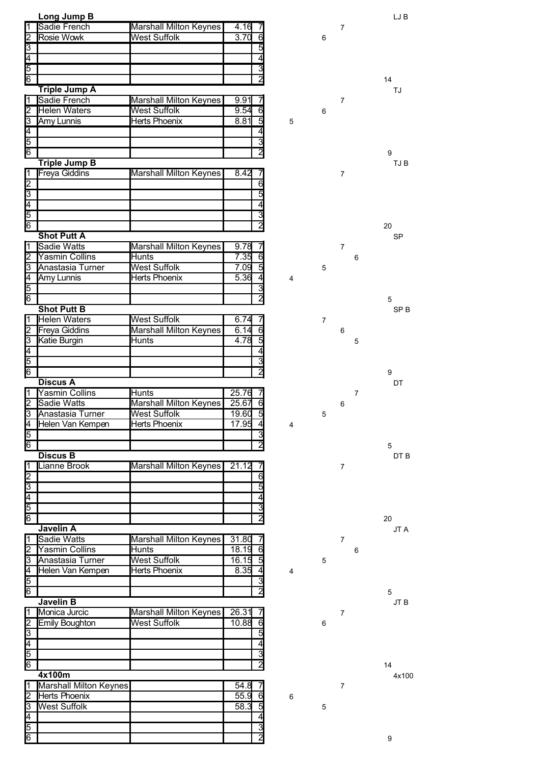|                             | Long Jump B            |                               |                         |                         |                |                |                | LJ B             |
|-----------------------------|------------------------|-------------------------------|-------------------------|-------------------------|----------------|----------------|----------------|------------------|
| l1                          | Sadie French           | Marshall Milton Keynes        | 4.16                    |                         |                | $\overline{7}$ |                |                  |
|                             | Rosie Wowk             | West Suffolk                  | 3.70<br>6               |                         | 6              |                |                |                  |
|                             |                        |                               | 5                       |                         |                |                |                |                  |
|                             |                        |                               | 4                       |                         |                |                |                |                  |
|                             |                        |                               | $\overline{\mathbf{3}}$ |                         |                |                |                |                  |
| $\frac{2}{9}$               |                        |                               |                         |                         |                |                |                | 14               |
|                             | <b>Triple Jump A</b>   |                               |                         |                         |                |                |                | TJ               |
| 1                           | Sadie French           | <b>Marshall Milton Keynes</b> | 9.91                    |                         |                | $\overline{7}$ |                |                  |
| 2                           | <b>Helen Waters</b>    | <b>West Suffolk</b>           | 9.54<br>6               |                         | 6              |                |                |                  |
| β                           | <b>Amy Lunnis</b>      | <b>Herts Phoenix</b>          | 8.81<br>5               | $\mathbf 5$             |                |                |                |                  |
|                             |                        |                               | 4                       |                         |                |                |                |                  |
|                             |                        |                               | $\overline{3}$          |                         |                |                |                |                  |
| $\frac{4}{5}$               |                        |                               | 2                       |                         |                |                |                | 9                |
|                             | <b>Triple Jump B</b>   |                               |                         |                         |                |                |                | TJ B             |
| ⊺⊺                          | <b>Freya Giddins</b>   | <b>Marshall Milton Keynes</b> | 8.42                    |                         |                | $\overline{7}$ |                |                  |
| $\frac{2}{9}$               |                        |                               | 6                       |                         |                |                |                |                  |
|                             |                        |                               | 5                       |                         |                |                |                |                  |
|                             |                        |                               | 4                       |                         |                |                |                |                  |
|                             |                        |                               | 3                       |                         |                |                |                |                  |
|                             |                        |                               | $\overline{2}$          |                         |                |                |                | 20               |
|                             | <b>Shot Putt A</b>     |                               |                         |                         |                |                |                | <b>SP</b>        |
| Ī1                          | <b>Sadie Watts</b>     | <b>Marshall Milton Keynes</b> | 9.78                    |                         |                | $\overline{7}$ |                |                  |
| 2                           | <b>Yasmin Collins</b>  | <b>Hunts</b>                  | 7.35<br>6               |                         |                |                | 6              |                  |
| उ                           | Anastasia Turner       | <b>West Suffolk</b>           | 5<br>7.09               |                         | 5              |                |                |                  |
| $\frac{4}{5}$ $\frac{5}{6}$ | Amy Lunnis             | Herts Phoenix                 | 5.36<br>4               | $\overline{4}$          |                |                |                |                  |
|                             |                        |                               | 3                       |                         |                |                |                |                  |
|                             |                        |                               | $\overline{2}$          |                         |                |                |                | 5                |
|                             | <b>Shot Putt B</b>     |                               |                         |                         |                |                |                | SP <sub>B</sub>  |
| $\overline{1}$              | <b>Helen Waters</b>    | <b>West Suffolk</b>           | 6.74<br>7               |                         | $\overline{7}$ |                |                |                  |
| 2                           | <b>Freya Giddins</b>   | <b>Marshall Milton Keynes</b> | 6<br>6.14               |                         |                | 6              |                |                  |
| 3                           | <b>Katie Burgin</b>    | Hunts                         | 4.78<br>5               |                         |                |                | 5              |                  |
| $\overline{4}$              |                        |                               | 4                       |                         |                |                |                |                  |
| $\overline{5}$              |                        |                               | $\overline{3}$          |                         |                |                |                |                  |
| $\overline{6}$              |                        |                               | $\overline{2}$          |                         |                |                |                | $\boldsymbol{9}$ |
|                             | <b>Discus A</b>        |                               |                         |                         |                |                |                | DT               |
|                             |                        |                               |                         |                         |                |                |                |                  |
| Π                           | <b>Yasmin Collins</b>  | Hunts                         | 25.76                   |                         |                |                | $\overline{7}$ |                  |
| 2                           | <b>Sadie Watts</b>     | Marshall Milton Keynes        | 25.67<br>6              |                         |                | 6              |                |                  |
| 3                           | Anastasia Turner       | <b>West Suffolk</b>           | 5<br>19.60              |                         | 5              |                |                |                  |
|                             | Helen Van Kempen       | Herts Phoenix                 | 17.95<br>4              | $\overline{4}$          |                |                |                |                  |
|                             |                        |                               | $\overline{3}$          |                         |                |                |                |                  |
| $\frac{4}{5}$ $\frac{6}{5}$ |                        |                               | $\overline{2}$          |                         |                |                |                | 5                |
|                             | <b>Discus B</b>        |                               |                         |                         |                |                |                | DT B             |
| Ī1                          | Lianne Brook           | <b>Marshall Milton Keynes</b> | 21.12                   |                         |                | $\overline{7}$ |                |                  |
| $\overline{2}$              |                        |                               | $\overline{6}$          |                         |                |                |                |                  |
| $\overline{3}$              |                        |                               | 5                       |                         |                |                |                |                  |
|                             |                        |                               | 4                       |                         |                |                |                |                  |
|                             |                        |                               | $\overline{\mathbf{3}}$ |                         |                |                |                |                  |
| $\frac{4}{6}$               |                        |                               | $\overline{2}$          |                         |                |                |                | 20               |
|                             | Javelin A              |                               |                         |                         |                |                |                | JT A             |
| ∏                           | <b>Sadie Watts</b>     | <b>Marshall Milton Keynes</b> | 31.80                   |                         |                | $\overline{7}$ |                |                  |
| 2                           | <b>Yasmin Collins</b>  | Hunts                         | 18.19<br>6              |                         |                |                | 6              |                  |
| उि                          | Anastasia Turner       | <b>West Suffolk</b>           | 16.15<br>5              |                         | 5              |                |                |                  |
|                             | Helen Van Kempen       | <b>Herts Phoenix</b>          | 8.35<br>4               | $\overline{\mathbf{4}}$ |                |                |                |                  |
|                             |                        |                               | $\overline{3}$          |                         |                |                |                |                  |
| $\frac{4}{5}$ $\frac{1}{6}$ |                        |                               | $\overline{2}$          |                         |                |                |                | 5                |
|                             | Javelin B              |                               |                         |                         |                |                |                | JT B             |
| $\sqrt{1}$                  | Monica Jurcic          | <b>Marshall Milton Keynes</b> | 26.31                   |                         |                | $\overline{7}$ |                |                  |
| $\overline{2}$              | <b>Emily Boughton</b>  | <b>West Suffolk</b>           | 10.88<br>6              |                         | 6              |                |                |                  |
| उ़                          |                        |                               | 5                       |                         |                |                |                |                  |
|                             |                        |                               | 4                       |                         |                |                |                |                  |
|                             |                        |                               | 3                       |                         |                |                |                |                  |
| $\frac{4}{5}$               |                        |                               | $\overline{2}$          |                         |                |                |                | 14               |
|                             | 4x100m                 |                               |                         |                         |                |                |                | 4x100            |
| 1                           | Marshall Milton Keynes |                               | 54.8                    |                         |                | $\overline{7}$ |                |                  |
| 2                           | <b>Herts Phoenix</b>   |                               | 55.9<br>6               | 6                       |                |                |                |                  |
| उ़                          | <b>West Suffolk</b>    |                               | 58.3<br>5               |                         | 5              |                |                |                  |
|                             |                        |                               |                         |                         |                |                |                |                  |
| $\frac{4}{5}$ $\frac{5}{6}$ |                        |                               | 3<br>$\overline{2}$     |                         |                |                |                | $\boldsymbol{9}$ |

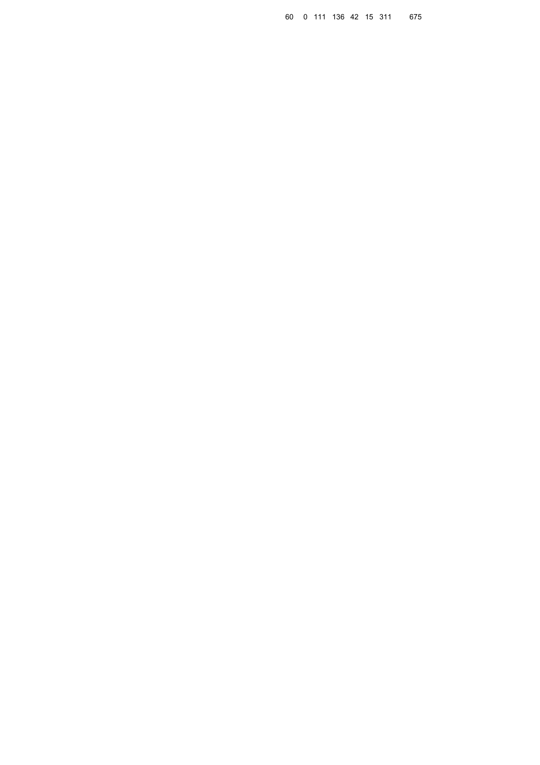0 111 136 42 15 311 675